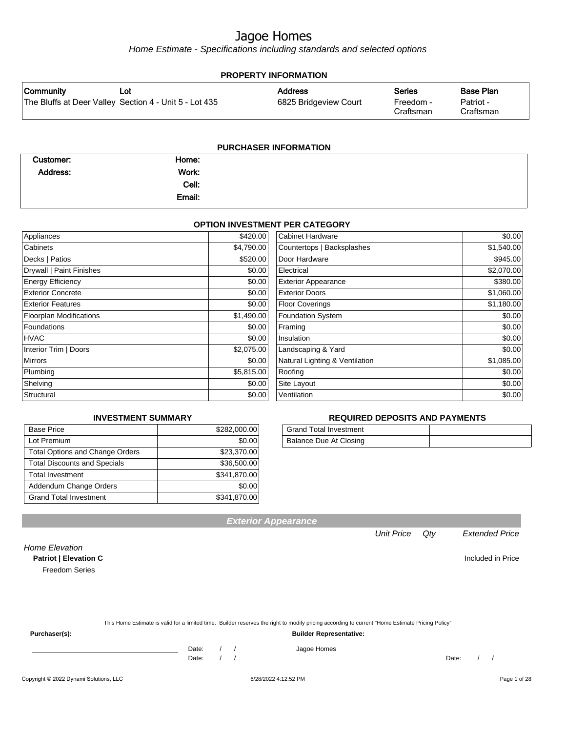Home Estimate - Specifications including standards and selected options

| <b>PROPERTY INFORMATION</b> |                                                        |                       |                        |                        |
|-----------------------------|--------------------------------------------------------|-----------------------|------------------------|------------------------|
| Community                   | Lot                                                    | <b>Address</b>        | <b>Series</b>          | <b>Base Plan</b>       |
|                             | The Bluffs at Deer Valley Section 4 - Unit 5 - Lot 435 | 6825 Bridgeview Court | Freedom -<br>Craftsman | Patriot -<br>Craftsman |
|                             |                                                        |                       |                        |                        |

| <b>PURCHASER INFORMATION</b> |        |  |  |
|------------------------------|--------|--|--|
| Customer:                    | Home:  |  |  |
| Address:                     | Work:  |  |  |
|                              | Cell:  |  |  |
|                              | Email: |  |  |
|                              |        |  |  |

#### **OPTION INVESTMENT PER CATEGORY**

| Appliances                     | \$420.00   | Cabinet Hardware               | \$0.00     |
|--------------------------------|------------|--------------------------------|------------|
| Cabinets                       | \$4,790.00 | Countertops   Backsplashes     | \$1,540.00 |
| Decks   Patios                 | \$520.00   | Door Hardware                  | \$945.00   |
| Drywall   Paint Finishes       | \$0.00     | Electrical                     | \$2,070.00 |
| <b>Energy Efficiency</b>       | \$0.00     | <b>Exterior Appearance</b>     | \$380.00   |
| <b>Exterior Concrete</b>       | \$0.00     | <b>Exterior Doors</b>          | \$1,060.00 |
| <b>Exterior Features</b>       | \$0.00     | <b>Floor Coverings</b>         | \$1,180.00 |
| <b>Floorplan Modifications</b> | \$1,490.00 | Foundation System              | \$0.00     |
| <b>Foundations</b>             | \$0.00     | Framing                        | \$0.00     |
| <b>HVAC</b>                    | \$0.00     | Insulation                     | \$0.00     |
| Interior Trim   Doors          | \$2,075.00 | Landscaping & Yard             | \$0.00     |
| <b>Mirrors</b>                 | \$0.00     | Natural Lighting & Ventilation | \$1,085.00 |
| Plumbing                       | \$5,815.00 | Roofing                        | \$0.00     |
| Shelving                       | \$0.00     | Site Layout                    | \$0.00     |
| Structural                     | \$0.00     | Ventilation                    | \$0.00     |

#### **INVESTMENT SUMMARY**

| <b>Base Price</b>                      | \$282,000.00 |
|----------------------------------------|--------------|
| Lot Premium                            | \$0.00       |
| <b>Total Options and Change Orders</b> | \$23,370.00  |
| <b>Total Discounts and Specials</b>    | \$36,500.00  |
| <b>Total Investment</b>                | \$341,870.00 |
| Addendum Change Orders                 | \$0.00       |
| <b>Grand Total Investment</b>          | \$341,870.00 |

#### **REQUIRED DEPOSITS AND PAYMENTS**

| <b>Grand Total Investment</b> |  |
|-------------------------------|--|
| Balance Due At Closing        |  |

**Exterior Appearance**

Unit Price Qty Extended Price

Home Elevation **Patriot | Elevation C** Included in Price Freedom Series

|               | This Home Estimate is valid for a limited time. Builder reserves the right to modify pricing according to current "Home Estimate Pricing Policy" |  |
|---------------|--------------------------------------------------------------------------------------------------------------------------------------------------|--|
| Purchaser(s): | <b>Builder Representative:</b>                                                                                                                   |  |

Date: / / Jagoe Homes<br>Date: / / Jagoe Homes

Date: / / Date: / /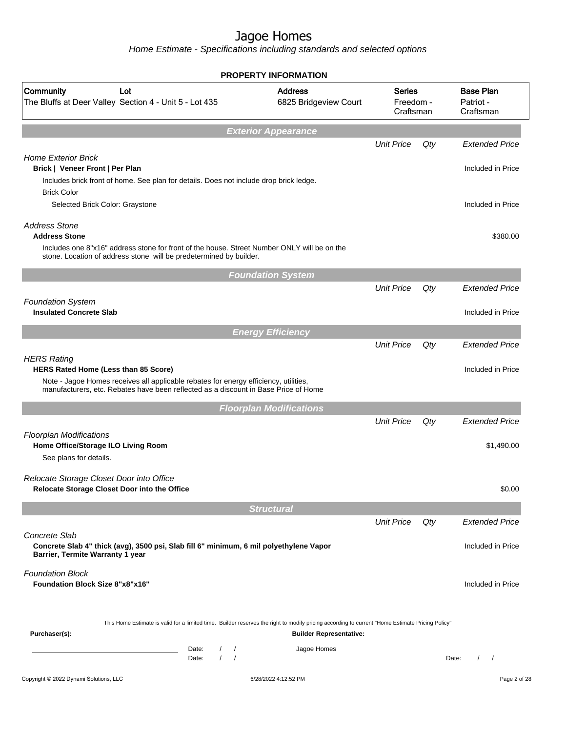|                                                                                                                                                                                                                                                          | <b>PROPERTY INFORMATION</b>             |                                         |     |                                            |
|----------------------------------------------------------------------------------------------------------------------------------------------------------------------------------------------------------------------------------------------------------|-----------------------------------------|-----------------------------------------|-----|--------------------------------------------|
| Community<br>Lot<br>The Bluffs at Deer Valley Section 4 - Unit 5 - Lot 435                                                                                                                                                                               | <b>Address</b><br>6825 Bridgeview Court | <b>Series</b><br>Freedom -<br>Craftsman |     | <b>Base Plan</b><br>Patriot -<br>Craftsman |
|                                                                                                                                                                                                                                                          | <b>Exterior Appearance</b>              |                                         |     |                                            |
| <b>Home Exterior Brick</b><br>Brick   Veneer Front   Per Plan                                                                                                                                                                                            |                                         | <b>Unit Price</b>                       | Qty | <b>Extended Price</b><br>Included in Price |
| Includes brick front of home. See plan for details. Does not include drop brick ledge.<br><b>Brick Color</b><br>Selected Brick Color: Graystone                                                                                                          |                                         |                                         |     | Included in Price                          |
| <b>Address Stone</b><br><b>Address Stone</b><br>Includes one 8"x16" address stone for front of the house. Street Number ONLY will be on the<br>stone. Location of address stone will be predetermined by builder.                                        |                                         |                                         |     | \$380.00                                   |
|                                                                                                                                                                                                                                                          | <b>Foundation System</b>                |                                         |     |                                            |
| <b>Foundation System</b>                                                                                                                                                                                                                                 |                                         | <b>Unit Price</b>                       | Qty | <b>Extended Price</b>                      |
| <b>Insulated Concrete Slab</b>                                                                                                                                                                                                                           |                                         |                                         |     | Included in Price                          |
|                                                                                                                                                                                                                                                          | <b>Energy Efficiency</b>                | <b>Unit Price</b>                       | Qty | <b>Extended Price</b>                      |
| <b>HERS Rating</b><br>HERS Rated Home (Less than 85 Score)<br>Note - Jagoe Homes receives all applicable rebates for energy efficiency, utilities,<br>manufacturers, etc. Rebates have been reflected as a discount in Base Price of Home                |                                         |                                         |     | Included in Price                          |
|                                                                                                                                                                                                                                                          | <b>Floorplan Modifications</b>          |                                         |     |                                            |
| <b>Floorplan Modifications</b><br>Home Office/Storage ILO Living Room<br>See plans for details.                                                                                                                                                          |                                         | <b>Unit Price</b>                       | Qty | <b>Extended Price</b><br>\$1,490.00        |
| Relocate Storage Closet Door into Office<br>Relocate Storage Closet Door into the Office                                                                                                                                                                 |                                         |                                         |     | \$0.00                                     |
|                                                                                                                                                                                                                                                          | <b>Structural</b>                       |                                         |     |                                            |
| Concrete Slab<br>Concrete Slab 4" thick (avg), 3500 psi, Slab fill 6" minimum, 6 mil polyethylene Vapor                                                                                                                                                  |                                         | <b>Unit Price</b>                       | Qty | <b>Extended Price</b><br>Included in Price |
| Barrier, Termite Warranty 1 year                                                                                                                                                                                                                         |                                         |                                         |     |                                            |
| <b>Foundation Block</b><br><b>Foundation Block Size 8"x8"x16"</b>                                                                                                                                                                                        |                                         |                                         |     | Included in Price                          |
| This Home Estimate is valid for a limited time. Builder reserves the right to modify pricing according to current "Home Estimate Pricing Policy"<br>Purchaser(s):                                                                                        | <b>Builder Representative:</b>          |                                         |     |                                            |
| Date:<br>$\prime$<br>$\prime$<br><u> 1980 - Johann Barn, amerikan besteman besteman besteman besteman besteman besteman besteman besteman besteman</u><br>$\prime$<br>Date:<br>$\prime$<br><u> 1989 - Johann Barn, mars an t-Amerikaansk politiker (</u> | Jagoe Homes                             |                                         |     | Date:<br>$\prime$<br>$\prime$              |
| Copyright © 2022 Dynami Solutions, LLC                                                                                                                                                                                                                   | 6/28/2022 4:12:52 PM                    |                                         |     | Page 2 of 28                               |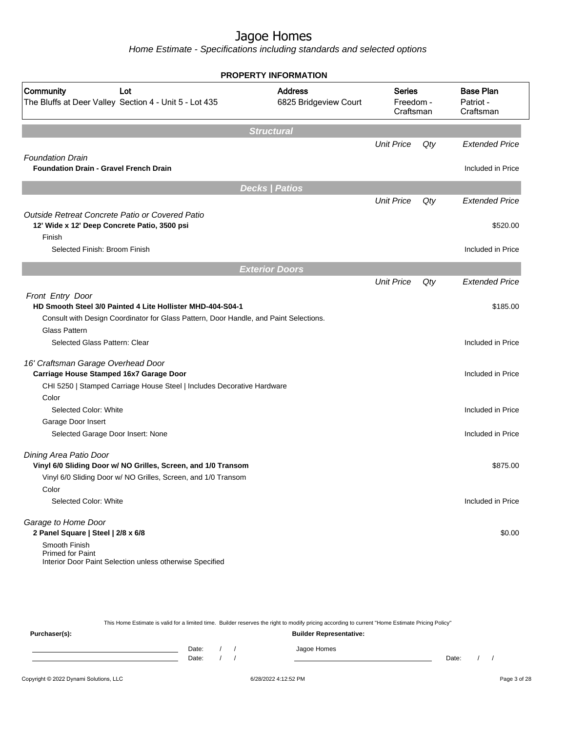|                                                                                                                                                                         | <b>PROPERTY INFORMATION</b>             |                                         |     |                                            |
|-------------------------------------------------------------------------------------------------------------------------------------------------------------------------|-----------------------------------------|-----------------------------------------|-----|--------------------------------------------|
| Community<br>Lot<br>The Bluffs at Deer Valley Section 4 - Unit 5 - Lot 435                                                                                              | <b>Address</b><br>6825 Bridgeview Court | <b>Series</b><br>Freedom -<br>Craftsman |     | <b>Base Plan</b><br>Patriot -<br>Craftsman |
|                                                                                                                                                                         | <b>Structural</b>                       |                                         |     |                                            |
|                                                                                                                                                                         |                                         | <b>Unit Price</b>                       | Qty | <b>Extended Price</b>                      |
| <b>Foundation Drain</b>                                                                                                                                                 |                                         |                                         |     |                                            |
| <b>Foundation Drain - Gravel French Drain</b>                                                                                                                           |                                         |                                         |     | Included in Price                          |
|                                                                                                                                                                         | <b>Decks   Patios</b>                   |                                         |     |                                            |
|                                                                                                                                                                         |                                         | <b>Unit Price</b>                       | Qty | <b>Extended Price</b>                      |
| Outside Retreat Concrete Patio or Covered Patio<br>12' Wide x 12' Deep Concrete Patio, 3500 psi                                                                         |                                         |                                         |     | \$520.00                                   |
| Finish                                                                                                                                                                  |                                         |                                         |     |                                            |
| Selected Finish: Broom Finish                                                                                                                                           |                                         |                                         |     | Included in Price                          |
|                                                                                                                                                                         | <b>Exterior Doors</b>                   |                                         |     |                                            |
|                                                                                                                                                                         |                                         | <b>Unit Price</b>                       | Qty | <b>Extended Price</b>                      |
| Front Entry Door<br>HD Smooth Steel 3/0 Painted 4 Lite Hollister MHD-404-S04-1<br>Consult with Design Coordinator for Glass Pattern, Door Handle, and Paint Selections. |                                         |                                         |     | \$185.00                                   |
| <b>Glass Pattern</b>                                                                                                                                                    |                                         |                                         |     |                                            |
| Selected Glass Pattern: Clear                                                                                                                                           |                                         |                                         |     | Included in Price                          |
| 16' Craftsman Garage Overhead Door<br>Carriage House Stamped 16x7 Garage Door                                                                                           |                                         |                                         |     | Included in Price                          |
| CHI 5250   Stamped Carriage House Steel   Includes Decorative Hardware                                                                                                  |                                         |                                         |     |                                            |
| Color<br>Selected Color: White                                                                                                                                          |                                         |                                         |     | Included in Price                          |
| Garage Door Insert                                                                                                                                                      |                                         |                                         |     |                                            |
| Selected Garage Door Insert: None                                                                                                                                       |                                         |                                         |     | Included in Price                          |
| Dining Area Patio Door                                                                                                                                                  |                                         |                                         |     |                                            |
| Vinyl 6/0 Sliding Door w/ NO Grilles, Screen, and 1/0 Transom<br>Vinyl 6/0 Sliding Door w/ NO Grilles, Screen, and 1/0 Transom                                          |                                         |                                         |     | \$875.00                                   |
| Color                                                                                                                                                                   |                                         |                                         |     |                                            |
| Selected Color: White                                                                                                                                                   |                                         |                                         |     | Included in Price                          |
| Garage to Home Door                                                                                                                                                     |                                         |                                         |     |                                            |
| 2 Panel Square   Steel   2/8 x 6/8                                                                                                                                      |                                         |                                         |     | \$0.00                                     |
| Smooth Finish<br><b>Primed for Paint</b><br>Interior Door Paint Selection unless otherwise Specified                                                                    |                                         |                                         |     |                                            |

|               |       |  | This Home Estimate is valid for a limited time. Builder reserves the right to modify pricing according to current "Home Estimate Pricing Policy" |       |  |
|---------------|-------|--|--------------------------------------------------------------------------------------------------------------------------------------------------|-------|--|
| Purchaser(s): |       |  | <b>Builder Representative:</b>                                                                                                                   |       |  |
|               | Date: |  | Jagoe Homes                                                                                                                                      |       |  |
|               | Date: |  |                                                                                                                                                  | Date: |  |
|               |       |  |                                                                                                                                                  |       |  |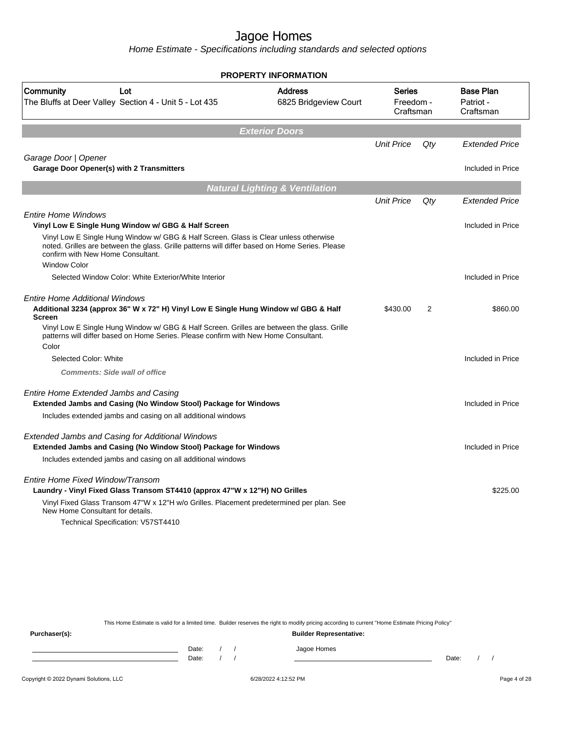Home Estimate - Specifications including standards and selected options

|                                                                                                                                                                                                                             | PROPERTY INFORMATION                      |                                         |     |                                            |  |  |
|-----------------------------------------------------------------------------------------------------------------------------------------------------------------------------------------------------------------------------|-------------------------------------------|-----------------------------------------|-----|--------------------------------------------|--|--|
| Community<br>Lot<br>The Bluffs at Deer Valley Section 4 - Unit 5 - Lot 435                                                                                                                                                  | <b>Address</b><br>6825 Bridgeview Court   | <b>Series</b><br>Freedom -<br>Craftsman |     | <b>Base Plan</b><br>Patriot -<br>Craftsman |  |  |
|                                                                                                                                                                                                                             | <b>Exterior Doors</b>                     |                                         |     |                                            |  |  |
|                                                                                                                                                                                                                             |                                           | <b>Unit Price</b>                       | Qty | <b>Extended Price</b>                      |  |  |
| Garage Door   Opener                                                                                                                                                                                                        |                                           |                                         |     |                                            |  |  |
| Garage Door Opener(s) with 2 Transmitters                                                                                                                                                                                   |                                           |                                         |     | Included in Price                          |  |  |
|                                                                                                                                                                                                                             | <b>Natural Lighting &amp; Ventilation</b> |                                         |     |                                            |  |  |
|                                                                                                                                                                                                                             |                                           | <b>Unit Price</b>                       | Qty | <b>Extended Price</b>                      |  |  |
| <b>Entire Home Windows</b>                                                                                                                                                                                                  |                                           |                                         |     |                                            |  |  |
| Vinyl Low E Single Hung Window w/ GBG & Half Screen                                                                                                                                                                         |                                           |                                         |     | Included in Price                          |  |  |
| Vinyl Low E Single Hung Window w/ GBG & Half Screen. Glass is Clear unless otherwise<br>noted. Grilles are between the glass. Grille patterns will differ based on Home Series. Please<br>confirm with New Home Consultant. |                                           |                                         |     |                                            |  |  |
| <b>Window Color</b>                                                                                                                                                                                                         |                                           |                                         |     |                                            |  |  |
| Selected Window Color: White Exterior/White Interior                                                                                                                                                                        |                                           |                                         |     | Included in Price                          |  |  |
| <b>Entire Home Additional Windows</b><br>Additional 3234 (approx 36" W x 72" H) Vinyl Low E Single Hung Window w/ GBG & Half<br><b>Screen</b>                                                                               |                                           | \$430.00                                | 2   | \$860.00                                   |  |  |
| Vinyl Low E Single Hung Window w/ GBG & Half Screen. Grilles are between the glass. Grille<br>patterns will differ based on Home Series. Please confirm with New Home Consultant.                                           |                                           |                                         |     |                                            |  |  |
| Color                                                                                                                                                                                                                       |                                           |                                         |     |                                            |  |  |
| Selected Color: White                                                                                                                                                                                                       |                                           |                                         |     | Included in Price                          |  |  |
| <b>Comments: Side wall of office</b>                                                                                                                                                                                        |                                           |                                         |     |                                            |  |  |
| <b>Entire Home Extended Jambs and Casing</b><br>Extended Jambs and Casing (No Window Stool) Package for Windows                                                                                                             |                                           |                                         |     | Included in Price                          |  |  |
| Includes extended jambs and casing on all additional windows                                                                                                                                                                |                                           |                                         |     |                                            |  |  |
| <b>Extended Jambs and Casing for Additional Windows</b>                                                                                                                                                                     |                                           |                                         |     |                                            |  |  |
| Extended Jambs and Casing (No Window Stool) Package for Windows                                                                                                                                                             |                                           |                                         |     | Included in Price                          |  |  |
| Includes extended jambs and casing on all additional windows                                                                                                                                                                |                                           |                                         |     |                                            |  |  |
| Entire Home Fixed Window/Transom                                                                                                                                                                                            |                                           |                                         |     |                                            |  |  |
| Laundry - Vinyl Fixed Glass Transom ST4410 (approx 47"W x 12"H) NO Grilles                                                                                                                                                  |                                           |                                         |     | \$225.00                                   |  |  |
| Vinyl Fixed Glass Transom 47"W x 12"H w/o Grilles. Placement predetermined per plan. See<br>New Home Consultant for details.                                                                                                |                                           |                                         |     |                                            |  |  |
| Technical Specification: V57ST4410                                                                                                                                                                                          |                                           |                                         |     |                                            |  |  |
|                                                                                                                                                                                                                             |                                           |                                         |     |                                            |  |  |
|                                                                                                                                                                                                                             |                                           |                                         |     |                                            |  |  |

This Home Estimate is valid for a limited time. Builder reserves the right to modify pricing according to current "Home Estimate Pricing Policy"

**Purchaser(s): Builder Representative:** Date: / / Jagoe Homes<br>Date: / / Jagoe Homes Date: / / Date: / /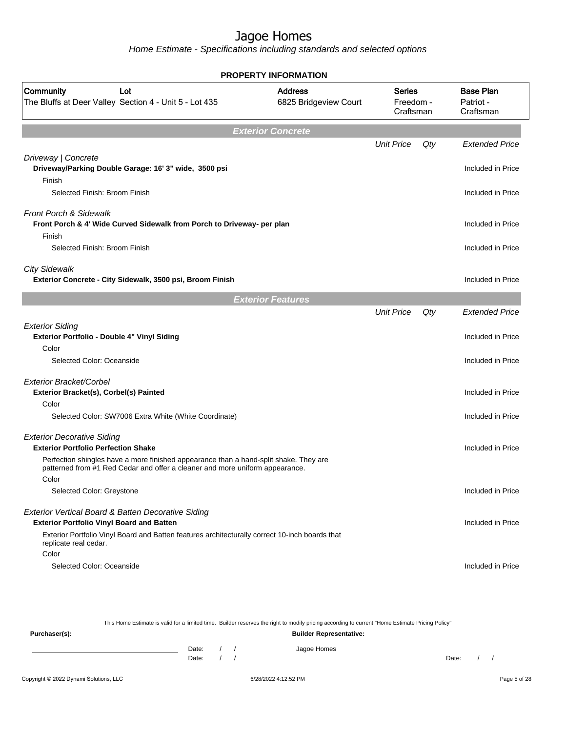Home Estimate - Specifications including standards and selected options

|                                                                                                                                                                          | <b>PROPERTY INFORMATION</b>             |                                         |     |                                            |
|--------------------------------------------------------------------------------------------------------------------------------------------------------------------------|-----------------------------------------|-----------------------------------------|-----|--------------------------------------------|
| Community<br>Lot<br>The Bluffs at Deer Valley Section 4 - Unit 5 - Lot 435                                                                                               | <b>Address</b><br>6825 Bridgeview Court | <b>Series</b><br>Freedom -<br>Craftsman |     | <b>Base Plan</b><br>Patriot -<br>Craftsman |
|                                                                                                                                                                          | <b>Exterior Concrete</b>                |                                         |     |                                            |
|                                                                                                                                                                          |                                         | <b>Unit Price</b>                       | Qty | <b>Extended Price</b>                      |
| Driveway   Concrete<br>Driveway/Parking Double Garage: 16' 3" wide, 3500 psi<br>Finish                                                                                   |                                         |                                         |     | Included in Price                          |
| Selected Finish: Broom Finish                                                                                                                                            |                                         |                                         |     | Included in Price                          |
| <b>Front Porch &amp; Sidewalk</b><br>Front Porch & 4' Wide Curved Sidewalk from Porch to Driveway- per plan                                                              |                                         |                                         |     | Included in Price                          |
| Finish<br>Selected Finish: Broom Finish                                                                                                                                  |                                         |                                         |     | Included in Price                          |
| <b>City Sidewalk</b><br>Exterior Concrete - City Sidewalk, 3500 psi, Broom Finish                                                                                        |                                         |                                         |     | Included in Price                          |
|                                                                                                                                                                          | <b>Exterior Features</b>                |                                         |     |                                            |
|                                                                                                                                                                          |                                         | <b>Unit Price</b>                       | Qty | <b>Extended Price</b>                      |
| <b>Exterior Siding</b><br>Exterior Portfolio - Double 4" Vinyl Siding<br>Color                                                                                           |                                         |                                         |     | Included in Price                          |
| Selected Color: Oceanside                                                                                                                                                |                                         |                                         |     | Included in Price                          |
| Exterior Bracket/Corbel                                                                                                                                                  |                                         |                                         |     |                                            |
| Exterior Bracket(s), Corbel(s) Painted                                                                                                                                   |                                         |                                         |     | Included in Price                          |
| Color<br>Selected Color: SW7006 Extra White (White Coordinate)                                                                                                           |                                         |                                         |     | Included in Price                          |
| <b>Exterior Decorative Siding</b><br><b>Exterior Portfolio Perfection Shake</b><br>Perfection shingles have a more finished appearance than a hand-split shake. They are |                                         |                                         |     | Included in Price                          |
| patterned from #1 Red Cedar and offer a cleaner and more uniform appearance.<br>Color                                                                                    |                                         |                                         |     |                                            |
| Selected Color: Greystone                                                                                                                                                |                                         |                                         |     | Included in Price                          |
| Exterior Vertical Board & Batten Decorative Siding<br><b>Exterior Portfolio Vinyl Board and Batten</b>                                                                   |                                         |                                         |     | Included in Price                          |
| Exterior Portfolio Vinyl Board and Batten features architecturally correct 10-inch boards that<br>replicate real cedar.<br>Color                                         |                                         |                                         |     |                                            |
| Selected Color: Oceanside                                                                                                                                                |                                         |                                         |     | Included in Price                          |

This Home Estimate is valid for a limited time. Builder reserves the right to modify pricing according to current "Home Estimate Pricing Policy" **Purchaser(s): Builder Representative:** Date: / / Jagoe Homes<br>Date: / / Jagoe Homes Date: / / **Date: / / 2006** Date: / / **Date: / / / 2006** Date: / / / 2006 Date: / / / 2006 Date: / / / 2006 Date: / / / 2007 Date: / / / 2007 Date: / / / 2008 Date: / / / 2008 Date: / / / 2008 Date: / / / 2008 Date: / / / 2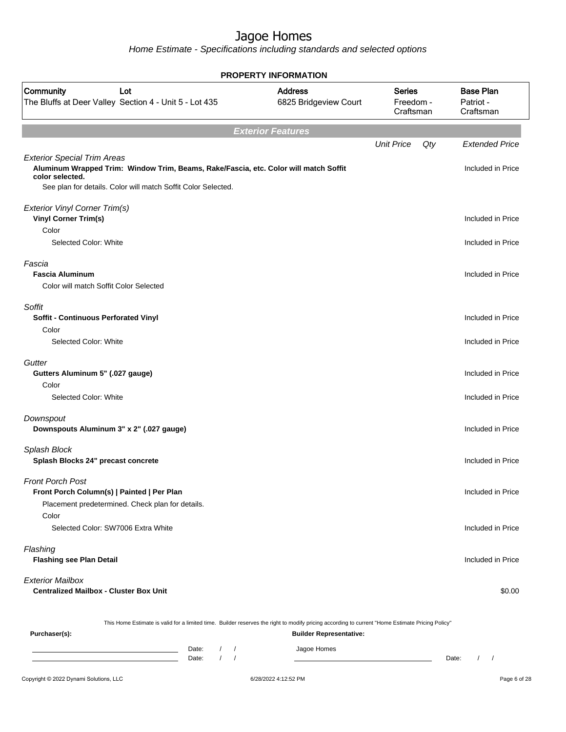|                                                                                                                                                                                                                | <b>PROPERTY INFORMATION</b>             |                                         |                                            |
|----------------------------------------------------------------------------------------------------------------------------------------------------------------------------------------------------------------|-----------------------------------------|-----------------------------------------|--------------------------------------------|
| Community<br>Lot<br>The Bluffs at Deer Valley Section 4 - Unit 5 - Lot 435                                                                                                                                     | <b>Address</b><br>6825 Bridgeview Court | <b>Series</b><br>Freedom -<br>Craftsman | <b>Base Plan</b><br>Patriot -<br>Craftsman |
|                                                                                                                                                                                                                | <b>Exterior Features</b>                |                                         |                                            |
|                                                                                                                                                                                                                |                                         | <b>Unit Price</b><br>Qty                | <b>Extended Price</b>                      |
| <b>Exterior Special Trim Areas</b><br>Aluminum Wrapped Trim: Window Trim, Beams, Rake/Fascia, etc. Color will match Soffit<br>color selected.<br>See plan for details. Color will match Soffit Color Selected. |                                         |                                         | Included in Price                          |
| Exterior Vinyl Corner Trim(s)<br><b>Vinyl Corner Trim(s)</b>                                                                                                                                                   |                                         |                                         | Included in Price                          |
| Color                                                                                                                                                                                                          |                                         |                                         |                                            |
| Selected Color: White                                                                                                                                                                                          |                                         |                                         | Included in Price                          |
| Fascia                                                                                                                                                                                                         |                                         |                                         |                                            |
| <b>Fascia Aluminum</b>                                                                                                                                                                                         |                                         |                                         | Included in Price                          |
| Color will match Soffit Color Selected                                                                                                                                                                         |                                         |                                         |                                            |
| Soffit                                                                                                                                                                                                         |                                         |                                         |                                            |
| Soffit - Continuous Perforated Vinyl                                                                                                                                                                           |                                         |                                         | Included in Price                          |
| Color                                                                                                                                                                                                          |                                         |                                         |                                            |
| Selected Color: White                                                                                                                                                                                          |                                         |                                         | Included in Price                          |
| Gutter                                                                                                                                                                                                         |                                         |                                         |                                            |
| Gutters Aluminum 5" (.027 gauge)                                                                                                                                                                               |                                         |                                         | Included in Price                          |
| Color                                                                                                                                                                                                          |                                         |                                         |                                            |
| Selected Color: White                                                                                                                                                                                          |                                         |                                         | Included in Price                          |
| Downspout<br>Downspouts Aluminum 3" x 2" (.027 gauge)                                                                                                                                                          |                                         |                                         | Included in Price                          |
|                                                                                                                                                                                                                |                                         |                                         |                                            |
| Splash Block<br>Splash Blocks 24" precast concrete                                                                                                                                                             |                                         |                                         | Included in Price                          |
| Front Porch Post<br>Front Porch Column(s)   Painted   Per Plan<br>Placement predetermined. Check plan for details.                                                                                             |                                         |                                         | Included in Price                          |
| Color<br>Selected Color: SW7006 Extra White                                                                                                                                                                    |                                         |                                         | Included in Price                          |
| Flashing<br><b>Flashing see Plan Detail</b>                                                                                                                                                                    |                                         |                                         | Included in Price                          |
| <b>Exterior Mailbox</b><br><b>Centralized Mailbox - Cluster Box Unit</b>                                                                                                                                       |                                         |                                         | \$0.00                                     |
| This Home Estimate is valid for a limited time. Builder reserves the right to modify pricing according to current "Home Estimate Pricing Policy"<br>Purchaser(s):                                              | <b>Builder Representative:</b>          |                                         |                                            |
|                                                                                                                                                                                                                |                                         |                                         |                                            |
| $\sqrt{2}$<br>Date:<br>$\sqrt{2}$<br>Date:                                                                                                                                                                     | Jagoe Homes                             |                                         | Date:<br>$\sqrt{ }$                        |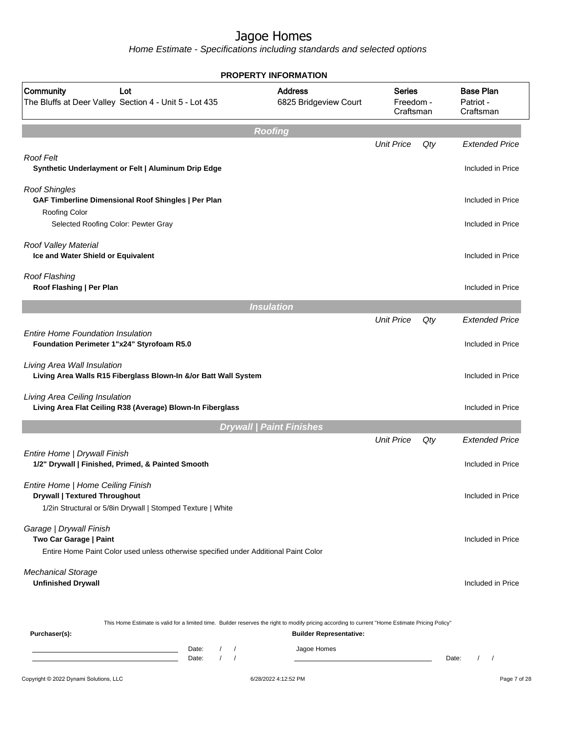|                                                                                                                                                                                    | <b>PROPERTY INFORMATION</b>                                                                                                                                                        |                                         |       |                                            |
|------------------------------------------------------------------------------------------------------------------------------------------------------------------------------------|------------------------------------------------------------------------------------------------------------------------------------------------------------------------------------|-----------------------------------------|-------|--------------------------------------------|
| Community<br>Lot<br>The Bluffs at Deer Valley Section 4 - Unit 5 - Lot 435                                                                                                         | <b>Address</b><br>6825 Bridgeview Court                                                                                                                                            | <b>Series</b><br>Freedom -<br>Craftsman |       | <b>Base Plan</b><br>Patriot -<br>Craftsman |
|                                                                                                                                                                                    | <b>Roofing</b>                                                                                                                                                                     |                                         |       |                                            |
|                                                                                                                                                                                    |                                                                                                                                                                                    | <b>Unit Price</b>                       | Qty   | <b>Extended Price</b>                      |
| <b>Roof Felt</b><br>Synthetic Underlayment or Felt   Aluminum Drip Edge                                                                                                            |                                                                                                                                                                                    |                                         |       | Included in Price                          |
| <b>Roof Shingles</b><br>GAF Timberline Dimensional Roof Shingles   Per Plan                                                                                                        |                                                                                                                                                                                    |                                         |       | Included in Price                          |
| <b>Roofing Color</b><br>Selected Roofing Color: Pewter Gray                                                                                                                        |                                                                                                                                                                                    |                                         |       | Included in Price                          |
| Roof Valley Material<br>Ice and Water Shield or Equivalent                                                                                                                         |                                                                                                                                                                                    |                                         |       | Included in Price                          |
| Roof Flashing<br>Roof Flashing   Per Plan                                                                                                                                          |                                                                                                                                                                                    |                                         |       | Included in Price                          |
|                                                                                                                                                                                    | <b>Insulation</b>                                                                                                                                                                  |                                         |       |                                            |
|                                                                                                                                                                                    |                                                                                                                                                                                    | <b>Unit Price</b>                       | Qty   | <b>Extended Price</b>                      |
| <b>Entire Home Foundation Insulation</b><br>Foundation Perimeter 1"x24" Styrofoam R5.0                                                                                             |                                                                                                                                                                                    |                                         |       | Included in Price                          |
| Living Area Wall Insulation<br>Living Area Walls R15 Fiberglass Blown-In &/or Batt Wall System                                                                                     |                                                                                                                                                                                    |                                         |       | Included in Price                          |
| Living Area Ceiling Insulation<br>Living Area Flat Ceiling R38 (Average) Blown-In Fiberglass                                                                                       |                                                                                                                                                                                    |                                         |       | Included in Price                          |
|                                                                                                                                                                                    | <b>Drywall   Paint Finishes</b>                                                                                                                                                    |                                         |       |                                            |
|                                                                                                                                                                                    |                                                                                                                                                                                    | <b>Unit Price</b>                       | Qty   | <b>Extended Price</b>                      |
| Entire Home   Drywall Finish<br>1/2" Drywall   Finished, Primed, & Painted Smooth                                                                                                  |                                                                                                                                                                                    |                                         |       | Included in Price                          |
| Entire Home   Home Ceiling Finish<br><b>Drywall   Textured Throughout</b><br>1/2in Structural or 5/8in Drywall   Stomped Texture   White                                           |                                                                                                                                                                                    |                                         |       | Included in Price                          |
| Garage   Drywall Finish<br>Two Car Garage   Paint<br>Entire Home Paint Color used unless otherwise specified under Additional Paint Color                                          |                                                                                                                                                                                    |                                         |       | Included in Price                          |
| <b>Mechanical Storage</b><br><b>Unfinished Drywall</b>                                                                                                                             |                                                                                                                                                                                    |                                         |       | Included in Price                          |
| Purchaser(s):                                                                                                                                                                      | This Home Estimate is valid for a limited time. Builder reserves the right to modify pricing according to current "Home Estimate Pricing Policy"<br><b>Builder Representative:</b> |                                         |       |                                            |
| Date:<br>$\left  \right $<br><u> 1980 - Johann Barn, mars an t-Amerikaansk kommunister (</u><br>$\sqrt{ }$<br>the control of the control of the control of the control of<br>Date: | Jagoe Homes<br>$\sqrt{ }$                                                                                                                                                          |                                         | Date: | $\frac{1}{2}$                              |
| Copyright © 2022 Dynami Solutions, LLC                                                                                                                                             | 6/28/2022 4:12:52 PM                                                                                                                                                               |                                         |       | Page 7 of 28                               |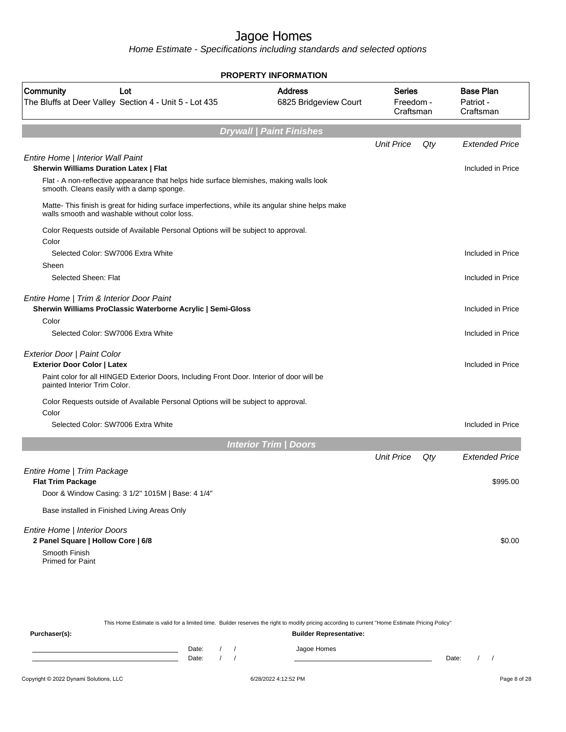|                                                                                                                                                   | <b>PROPERTY INFORMATION</b>             |                                         |     |                                            |
|---------------------------------------------------------------------------------------------------------------------------------------------------|-----------------------------------------|-----------------------------------------|-----|--------------------------------------------|
| <b>Community</b><br>Lot<br>The Bluffs at Deer Valley Section 4 - Unit 5 - Lot 435                                                                 | <b>Address</b><br>6825 Bridgeview Court | <b>Series</b><br>Freedom -<br>Craftsman |     | <b>Base Plan</b><br>Patriot -<br>Craftsman |
|                                                                                                                                                   | <b>Drywall   Paint Finishes</b>         |                                         |     |                                            |
|                                                                                                                                                   |                                         | <b>Unit Price</b>                       | Qty | <b>Extended Price</b>                      |
| Entire Home   Interior Wall Paint<br><b>Sherwin Williams Duration Latex   Flat</b>                                                                |                                         |                                         |     | Included in Price                          |
| Flat - A non-reflective appearance that helps hide surface blemishes, making walls look<br>smooth. Cleans easily with a damp sponge.              |                                         |                                         |     |                                            |
| Matte- This finish is great for hiding surface imperfections, while its angular shine helps make<br>walls smooth and washable without color loss. |                                         |                                         |     |                                            |
| Color Requests outside of Available Personal Options will be subject to approval.<br>Color                                                        |                                         |                                         |     |                                            |
| Selected Color: SW7006 Extra White<br>Sheen                                                                                                       |                                         |                                         |     | Included in Price                          |
| Selected Sheen: Flat                                                                                                                              |                                         |                                         |     | Included in Price                          |
| Entire Home   Trim & Interior Door Paint<br>Sherwin Williams ProClassic Waterborne Acrylic   Semi-Gloss                                           |                                         |                                         |     | Included in Price                          |
| Color                                                                                                                                             |                                         |                                         |     |                                            |
| Selected Color: SW7006 Extra White                                                                                                                |                                         |                                         |     | Included in Price                          |
| Exterior Door   Paint Color<br><b>Exterior Door Color   Latex</b>                                                                                 |                                         |                                         |     | Included in Price                          |
| Paint color for all HINGED Exterior Doors, Including Front Door. Interior of door will be<br>painted Interior Trim Color.                         |                                         |                                         |     |                                            |
| Color Requests outside of Available Personal Options will be subject to approval.<br>Color                                                        |                                         |                                         |     |                                            |
| Selected Color: SW7006 Extra White                                                                                                                |                                         |                                         |     | Included in Price                          |
|                                                                                                                                                   | <b>Interior Trim / Doors</b>            |                                         |     |                                            |
|                                                                                                                                                   |                                         | <b>Unit Price</b>                       | Qty | <b>Extended Price</b>                      |
| Entire Home   Trim Package<br><b>Flat Trim Package</b>                                                                                            |                                         |                                         |     | \$995.00                                   |
| Door & Window Casing: 3 1/2" 1015M   Base: 4 1/4"                                                                                                 |                                         |                                         |     |                                            |
| Base installed in Finished Living Areas Only                                                                                                      |                                         |                                         |     |                                            |
| Entire Home   Interior Doors<br>2 Panel Square   Hollow Core   6/8                                                                                |                                         |                                         |     | \$0.00                                     |
| Smooth Finish<br><b>Primed for Paint</b>                                                                                                          |                                         |                                         |     |                                            |
|                                                                                                                                                   |                                         |                                         |     |                                            |
|                                                                                                                                                   |                                         |                                         |     |                                            |

|               |                                |  |  | This Home Estimate is valid for a limited time. Builder reserves the right to modify pricing according to current "Home Estimate Pricing Policy" |       |  |  |
|---------------|--------------------------------|--|--|--------------------------------------------------------------------------------------------------------------------------------------------------|-------|--|--|
| Purchaser(s): | <b>Builder Representative:</b> |  |  |                                                                                                                                                  |       |  |  |
|               | Date:                          |  |  | Jagoe Homes                                                                                                                                      |       |  |  |
|               | Date:                          |  |  |                                                                                                                                                  | Date: |  |  |
|               |                                |  |  |                                                                                                                                                  |       |  |  |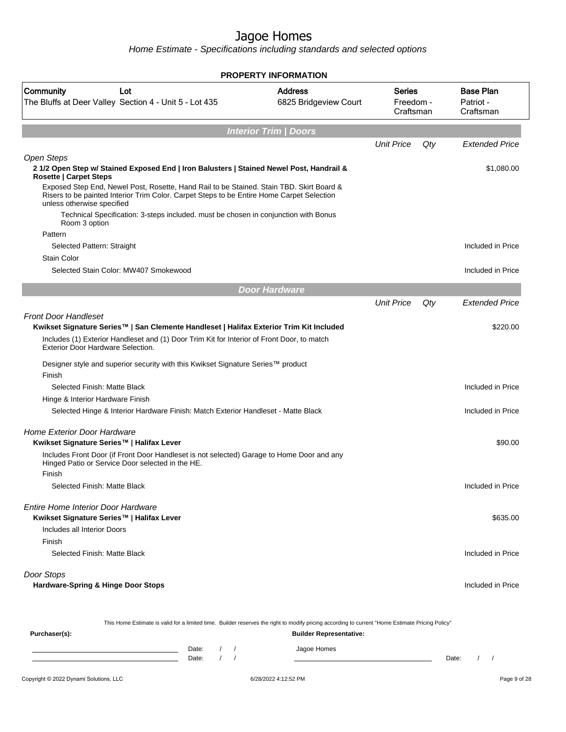Home Estimate - Specifications including standards and selected options

|                                                                                                                                                                                                                                                                                                                                                                                                                                                       | PROPERTY INFORMATION                    |                                         |     |                                            |
|-------------------------------------------------------------------------------------------------------------------------------------------------------------------------------------------------------------------------------------------------------------------------------------------------------------------------------------------------------------------------------------------------------------------------------------------------------|-----------------------------------------|-----------------------------------------|-----|--------------------------------------------|
| Community<br>Lot<br>The Bluffs at Deer Valley Section 4 - Unit 5 - Lot 435                                                                                                                                                                                                                                                                                                                                                                            | <b>Address</b><br>6825 Bridgeview Court | <b>Series</b><br>Freedom -<br>Craftsman |     | <b>Base Plan</b><br>Patriot -<br>Craftsman |
|                                                                                                                                                                                                                                                                                                                                                                                                                                                       | <b>Interior Trim / Doors</b>            |                                         |     |                                            |
|                                                                                                                                                                                                                                                                                                                                                                                                                                                       |                                         | <b>Unit Price</b>                       | Qty | <b>Extended Price</b>                      |
| Open Steps<br>2 1/2 Open Step w/ Stained Exposed End   Iron Balusters   Stained Newel Post, Handrail &<br><b>Rosette   Carpet Steps</b><br>Exposed Step End, Newel Post, Rosette, Hand Rail to be Stained. Stain TBD. Skirt Board &<br>Risers to be painted Interior Trim Color. Carpet Steps to be Entire Home Carpet Selection<br>unless otherwise specified<br>Technical Specification: 3-steps included. must be chosen in conjunction with Bonus |                                         |                                         |     | \$1,080.00                                 |
| Room 3 option<br>Pattern                                                                                                                                                                                                                                                                                                                                                                                                                              |                                         |                                         |     |                                            |
| Selected Pattern: Straight                                                                                                                                                                                                                                                                                                                                                                                                                            |                                         |                                         |     | Included in Price                          |
| <b>Stain Color</b>                                                                                                                                                                                                                                                                                                                                                                                                                                    |                                         |                                         |     |                                            |
| Selected Stain Color: MW407 Smokewood                                                                                                                                                                                                                                                                                                                                                                                                                 |                                         |                                         |     | Included in Price                          |
|                                                                                                                                                                                                                                                                                                                                                                                                                                                       | <b>Door Hardware</b>                    |                                         |     |                                            |
|                                                                                                                                                                                                                                                                                                                                                                                                                                                       |                                         | <b>Unit Price</b>                       | Qty | <b>Extended Price</b>                      |
| <b>Front Door Handleset</b><br>Kwikset Signature Series™   San Clemente Handleset   Halifax Exterior Trim Kit Included<br>Includes (1) Exterior Handleset and (1) Door Trim Kit for Interior of Front Door, to match<br>Exterior Door Hardware Selection.                                                                                                                                                                                             |                                         |                                         |     | \$220.00                                   |
| Designer style and superior security with this Kwikset Signature Series™ product<br>Finish                                                                                                                                                                                                                                                                                                                                                            |                                         |                                         |     |                                            |
| Selected Finish: Matte Black                                                                                                                                                                                                                                                                                                                                                                                                                          |                                         |                                         |     | Included in Price                          |
| Hinge & Interior Hardware Finish                                                                                                                                                                                                                                                                                                                                                                                                                      |                                         |                                         |     |                                            |
| Selected Hinge & Interior Hardware Finish: Match Exterior Handleset - Matte Black                                                                                                                                                                                                                                                                                                                                                                     |                                         |                                         |     | Included in Price                          |
| <b>Home Exterior Door Hardware</b><br>Kwikset Signature Series™   Halifax Lever                                                                                                                                                                                                                                                                                                                                                                       |                                         |                                         |     | \$90.00                                    |
| Includes Front Door (if Front Door Handleset is not selected) Garage to Home Door and any<br>Hinged Patio or Service Door selected in the HE.<br>Finish                                                                                                                                                                                                                                                                                               |                                         |                                         |     |                                            |
| Selected Finish: Matte Black                                                                                                                                                                                                                                                                                                                                                                                                                          |                                         |                                         |     | Included in Price                          |
| Entire Home Interior Door Hardware<br>Kwikset Signature Series™   Halifax Lever                                                                                                                                                                                                                                                                                                                                                                       |                                         |                                         |     | \$635.00                                   |
| Includes all Interior Doors                                                                                                                                                                                                                                                                                                                                                                                                                           |                                         |                                         |     |                                            |
| Finish                                                                                                                                                                                                                                                                                                                                                                                                                                                |                                         |                                         |     |                                            |
| Selected Finish: Matte Black                                                                                                                                                                                                                                                                                                                                                                                                                          |                                         |                                         |     | Included in Price                          |
| Door Stops<br><b>Hardware-Spring &amp; Hinge Door Stops</b>                                                                                                                                                                                                                                                                                                                                                                                           |                                         |                                         |     | Included in Price                          |
| This Home Estimate is valid for a limited time. Builder reserves the right to modify pricing according to current "Home Estimate Pricing Policy"<br>Purchaser(s):                                                                                                                                                                                                                                                                                     | <b>Builder Representative:</b>          |                                         |     |                                            |
|                                                                                                                                                                                                                                                                                                                                                                                                                                                       |                                         |                                         |     |                                            |

#### Date: / / Jagoe Homes<br>Date: / / Jagoe Homes Date: / / **Date: / / 2006** Date: / / / Date: / / / Date: / / / 2006 Date: / / / 2006 Date: / / / 2006 Date: / / / 2006 Date: / / / 2007 Date: / / / 2007 Date: / / / 2007 Date: / / / 2007 Date: / / / 2007 Date: / / / 2007 D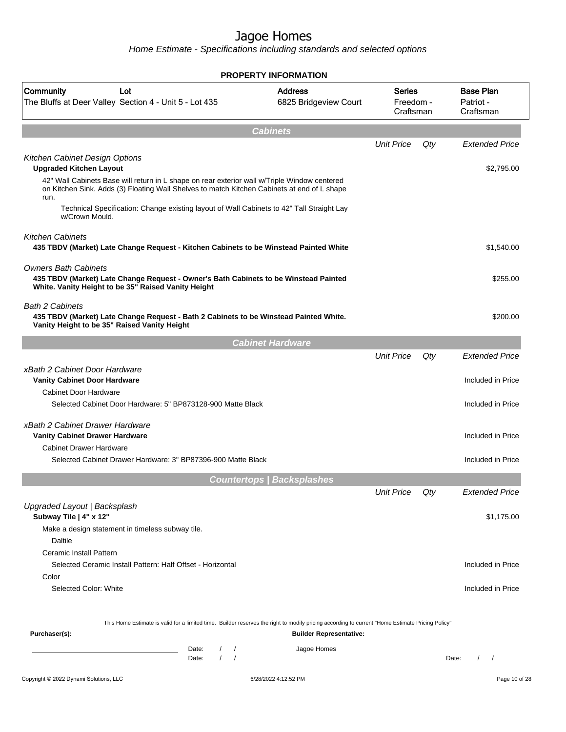|                                                                                                                                                                                                                                                                 | <b>PROPERTY INFORMATION</b>             |                                         |     |                                            |
|-----------------------------------------------------------------------------------------------------------------------------------------------------------------------------------------------------------------------------------------------------------------|-----------------------------------------|-----------------------------------------|-----|--------------------------------------------|
| Community<br>Lot<br>The Bluffs at Deer Valley Section 4 - Unit 5 - Lot 435                                                                                                                                                                                      | <b>Address</b><br>6825 Bridgeview Court | <b>Series</b><br>Freedom -<br>Craftsman |     | <b>Base Plan</b><br>Patriot -<br>Craftsman |
|                                                                                                                                                                                                                                                                 | <b>Cabinets</b>                         |                                         |     |                                            |
|                                                                                                                                                                                                                                                                 |                                         | <b>Unit Price</b>                       | Qty | <b>Extended Price</b>                      |
| Kitchen Cabinet Design Options<br><b>Upgraded Kitchen Layout</b><br>42" Wall Cabinets Base will return in L shape on rear exterior wall w/Triple Window centered<br>on Kitchen Sink. Adds (3) Floating Wall Shelves to match Kitchen Cabinets at end of L shape |                                         |                                         |     | \$2,795.00                                 |
| run.<br>Technical Specification: Change existing layout of Wall Cabinets to 42" Tall Straight Lay<br>w/Crown Mould.                                                                                                                                             |                                         |                                         |     |                                            |
| <b>Kitchen Cabinets</b><br>435 TBDV (Market) Late Change Request - Kitchen Cabinets to be Winstead Painted White                                                                                                                                                |                                         |                                         |     | \$1,540.00                                 |
| <b>Owners Bath Cabinets</b><br>435 TBDV (Market) Late Change Request - Owner's Bath Cabinets to be Winstead Painted<br>White. Vanity Height to be 35" Raised Vanity Height                                                                                      |                                         |                                         |     | \$255.00                                   |
| <b>Bath 2 Cabinets</b><br>435 TBDV (Market) Late Change Request - Bath 2 Cabinets to be Winstead Painted White.<br>Vanity Height to be 35" Raised Vanity Height                                                                                                 |                                         |                                         |     | \$200.00                                   |
|                                                                                                                                                                                                                                                                 | <b>Cabinet Hardware</b>                 |                                         |     |                                            |
|                                                                                                                                                                                                                                                                 |                                         | <b>Unit Price</b>                       | Qty | <b>Extended Price</b>                      |
| xBath 2 Cabinet Door Hardware<br><b>Vanity Cabinet Door Hardware</b>                                                                                                                                                                                            |                                         |                                         |     | Included in Price                          |
| <b>Cabinet Door Hardware</b><br>Selected Cabinet Door Hardware: 5" BP873128-900 Matte Black                                                                                                                                                                     |                                         |                                         |     | Included in Price                          |
| xBath 2 Cabinet Drawer Hardware<br><b>Vanity Cabinet Drawer Hardware</b>                                                                                                                                                                                        |                                         |                                         |     | Included in Price                          |
| <b>Cabinet Drawer Hardware</b><br>Selected Cabinet Drawer Hardware: 3" BP87396-900 Matte Black                                                                                                                                                                  |                                         |                                         |     | Included in Price                          |
|                                                                                                                                                                                                                                                                 | <b>Countertops   Backsplashes</b>       |                                         |     |                                            |
| Upgraded Layout   Backsplash                                                                                                                                                                                                                                    |                                         | <b>Unit Price</b>                       | Qty | <b>Extended Price</b>                      |
| Subway Tile   4" x 12"<br>Make a design statement in timeless subway tile.                                                                                                                                                                                      |                                         |                                         |     | \$1,175.00                                 |
| Daltile                                                                                                                                                                                                                                                         |                                         |                                         |     |                                            |
| <b>Ceramic Install Pattern</b><br>Selected Ceramic Install Pattern: Half Offset - Horizontal                                                                                                                                                                    |                                         |                                         |     | Included in Price                          |
| Color<br>Selected Color: White                                                                                                                                                                                                                                  |                                         |                                         |     | Included in Price                          |
| This Home Estimate is valid for a limited time. Builder reserves the right to modify pricing according to current "Home Estimate Pricing Policy"<br>Purchaser(s):                                                                                               | <b>Builder Representative:</b>          |                                         |     |                                            |
| Date:<br>$\left  \right $<br>the control of the control of the control of the control of<br>$\sqrt{2}$<br>$\prime$<br>Date:                                                                                                                                     | Jagoe Homes                             |                                         |     | Date:<br>$\prime$<br>$\sqrt{2}$            |
| Copyright © 2022 Dynami Solutions, LLC                                                                                                                                                                                                                          | 6/28/2022 4:12:52 PM                    |                                         |     | Page 10 of 28                              |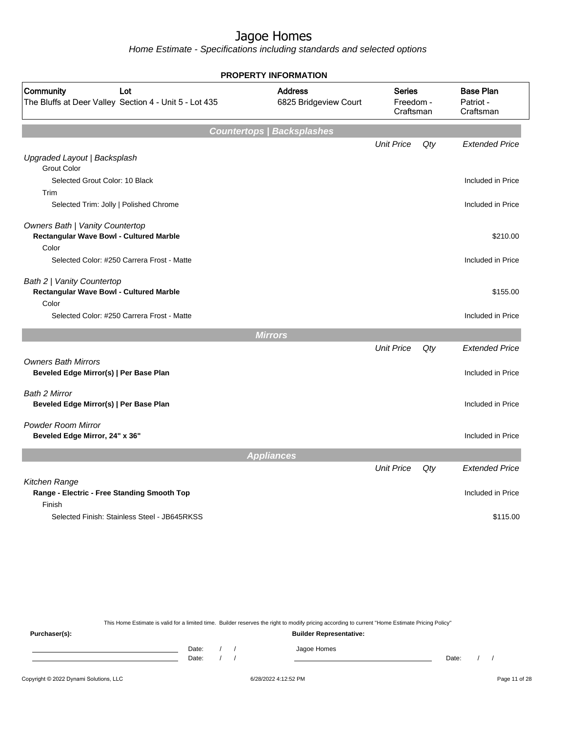Home Estimate - Specifications including standards and selected options

| <b>PROPERTY INFORMATION</b>                                                         |                                         |                                         |        |                       |  |                                            |  |
|-------------------------------------------------------------------------------------|-----------------------------------------|-----------------------------------------|--------|-----------------------|--|--------------------------------------------|--|
| Community<br>Lot<br>The Bluffs at Deer Valley Section 4 - Unit 5 - Lot 435          | <b>Address</b><br>6825 Bridgeview Court | <b>Series</b><br>Freedom -<br>Craftsman |        |                       |  | <b>Base Plan</b><br>Patriot -<br>Craftsman |  |
|                                                                                     | <b>Countertops   Backsplashes</b>       |                                         |        |                       |  |                                            |  |
| Upgraded Layout   Backsplash                                                        |                                         | <b>Unit Price</b>                       | Qty    | <b>Extended Price</b> |  |                                            |  |
| <b>Grout Color</b><br>Selected Grout Color: 10 Black<br>Trim                        |                                         |                                         |        | Included in Price     |  |                                            |  |
| Selected Trim: Jolly   Polished Chrome                                              |                                         |                                         |        | Included in Price     |  |                                            |  |
| Owners Bath   Vanity Countertop<br>Rectangular Wave Bowl - Cultured Marble<br>Color |                                         |                                         |        | \$210.00              |  |                                            |  |
| Selected Color: #250 Carrera Frost - Matte                                          |                                         |                                         |        | Included in Price     |  |                                            |  |
| Bath 2   Vanity Countertop<br>Rectangular Wave Bowl - Cultured Marble<br>Color      |                                         |                                         |        | \$155.00              |  |                                            |  |
| Selected Color: #250 Carrera Frost - Matte                                          |                                         |                                         |        | Included in Price     |  |                                            |  |
|                                                                                     | <b>Mirrors</b>                          |                                         |        |                       |  |                                            |  |
|                                                                                     |                                         | <b>Unit Price</b>                       | $Q$ ty | <b>Extended Price</b> |  |                                            |  |
| <b>Owners Bath Mirrors</b><br>Beveled Edge Mirror(s)   Per Base Plan                |                                         |                                         |        | Included in Price     |  |                                            |  |
| <b>Bath 2 Mirror</b><br>Beveled Edge Mirror(s)   Per Base Plan                      |                                         |                                         |        | Included in Price     |  |                                            |  |
| <b>Powder Room Mirror</b><br>Beveled Edge Mirror, 24" x 36"                         |                                         |                                         |        | Included in Price     |  |                                            |  |
|                                                                                     | <b>Appliances</b>                       |                                         |        |                       |  |                                            |  |
|                                                                                     |                                         | <b>Unit Price</b>                       | Qty    | <b>Extended Price</b> |  |                                            |  |
| Kitchen Range<br>Range - Electric - Free Standing Smooth Top<br>Finish              |                                         |                                         |        | Included in Price     |  |                                            |  |
| Selected Finish: Stainless Steel - JB645RKSS                                        |                                         |                                         |        | \$115.00              |  |                                            |  |

This Home Estimate is valid for a limited time. Builder reserves the right to modify pricing according to current "Home Estimate Pricing Policy"

**Purchaser(s): Builder Representative:** Date: / / Jagoe Homes<br>Date: / / Jagoe Homes Date: / / **Date: / / 2006** Date: / / / Date: / / / Date: / / / 2006 Date: / / / 2006 Date: / / / 2006 Date: / / / 2006 Date: / / / 2007 Date: / / / 2007 Date: / / / 2007 Date: / / / 2007 Date: / / / 2007 Date: / / / 2007 D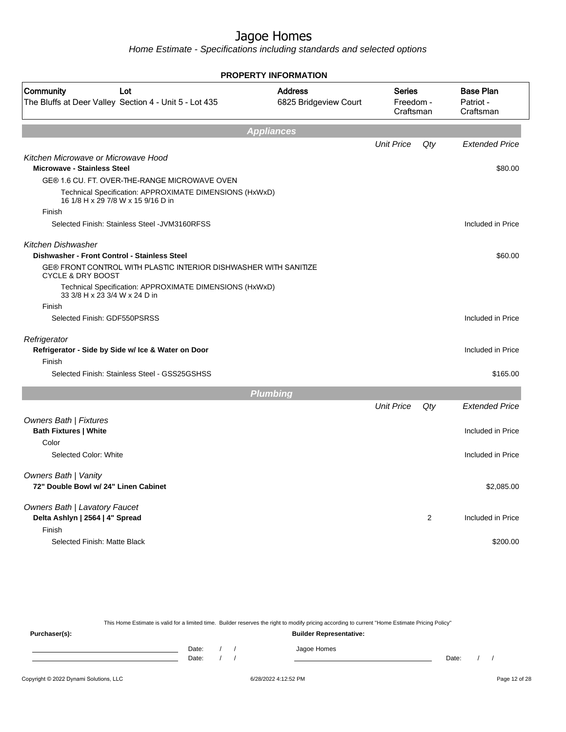Home Estimate - Specifications including standards and selected options

|                                                                                                  | PROPERTY INFORMATION                    |                                         |                |                                            |
|--------------------------------------------------------------------------------------------------|-----------------------------------------|-----------------------------------------|----------------|--------------------------------------------|
| Community<br>Lot<br>The Bluffs at Deer Valley Section 4 - Unit 5 - Lot 435                       | <b>Address</b><br>6825 Bridgeview Court | <b>Series</b><br>Freedom -<br>Craftsman |                | <b>Base Plan</b><br>Patriot -<br>Craftsman |
|                                                                                                  | <b>Appliances</b>                       |                                         |                |                                            |
|                                                                                                  |                                         | <b>Unit Price</b>                       | Qty            | <b>Extended Price</b>                      |
| Kitchen Microwave or Microwave Hood<br><b>Microwave - Stainless Steel</b>                        |                                         |                                         |                | \$80.00                                    |
| GE® 1.6 CU. FT. OVER-THE-RANGE MICROWAVE OVEN                                                    |                                         |                                         |                |                                            |
| Technical Specification: APPROXIMATE DIMENSIONS (HxWxD)<br>16 1/8 H x 29 7/8 W x 15 9/16 D in    |                                         |                                         |                |                                            |
| Finish                                                                                           |                                         |                                         |                |                                            |
| Selected Finish: Stainless Steel - JVM3160RFSS                                                   |                                         |                                         |                | Included in Price                          |
| Kitchen Dishwasher                                                                               |                                         |                                         |                |                                            |
| Dishwasher - Front Control - Stainless Steel                                                     |                                         |                                         |                | \$60.00                                    |
| GE® FRONT CONTROL WITH PLASTIC INTERIOR DISHWASHER WITH SANITIZE<br><b>CYCLE &amp; DRY BOOST</b> |                                         |                                         |                |                                            |
| Technical Specification: APPROXIMATE DIMENSIONS (HxWxD)<br>33 3/8 H x 23 3/4 W x 24 D in         |                                         |                                         |                |                                            |
| Finish                                                                                           |                                         |                                         |                |                                            |
| Selected Finish: GDF550PSRSS                                                                     |                                         |                                         |                | Included in Price                          |
| Refrigerator                                                                                     |                                         |                                         |                |                                            |
| Refrigerator - Side by Side w/ Ice & Water on Door                                               |                                         |                                         |                | Included in Price                          |
| Finish                                                                                           |                                         |                                         |                |                                            |
| Selected Finish: Stainless Steel - GSS25GSHSS                                                    |                                         |                                         |                | \$165.00                                   |
|                                                                                                  | <b>Plumbing</b>                         |                                         |                |                                            |
|                                                                                                  |                                         | <b>Unit Price</b>                       | Qty            | <b>Extended Price</b>                      |
| <b>Owners Bath   Fixtures</b>                                                                    |                                         |                                         |                |                                            |
| <b>Bath Fixtures   White</b>                                                                     |                                         |                                         |                | Included in Price                          |
| Color                                                                                            |                                         |                                         |                |                                            |
| Selected Color: White                                                                            |                                         |                                         |                | Included in Price                          |
| <b>Owners Bath   Vanity</b>                                                                      |                                         |                                         |                |                                            |
| 72" Double Bowl w/ 24" Linen Cabinet                                                             |                                         |                                         |                | \$2,085.00                                 |
| Owners Bath   Lavatory Faucet                                                                    |                                         |                                         |                |                                            |
| Delta Ashlyn   2564   4" Spread                                                                  |                                         |                                         | $\overline{2}$ | Included in Price                          |
| Finish                                                                                           |                                         |                                         |                |                                            |
| Selected Finish: Matte Black                                                                     |                                         |                                         |                | \$200.00                                   |
|                                                                                                  |                                         |                                         |                |                                            |

This Home Estimate is valid for a limited time. Builder reserves the right to modify pricing according to current "Home Estimate Pricing Policy"

**Purchaser(s): Builder Representative:** Date: / / Jagoe Homes<br>Date: / / Jagoe Homes Date: / / **Date: / / 2006** Date: / / / Date: / / / Date: / / / 2006 Date: / / / 2006 Date: / / / 2006 Date: / / / 2006 Date: / / / 2007 Date: / / / 2007 Date: / / / 2007 Date: / / / 2007 Date: / / / 2007 Date: / / / 2007 D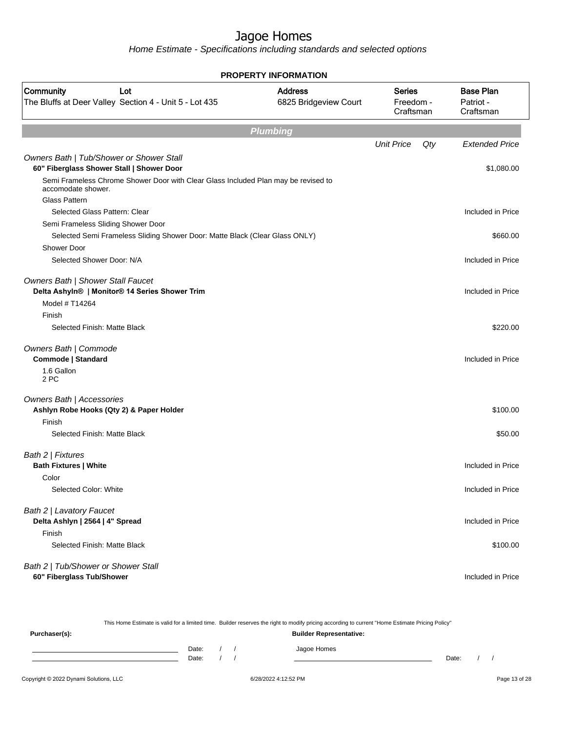| <b>PROPERTY INFORMATION</b>                                                                                               |                                         |                                         |     |                                            |  |  |
|---------------------------------------------------------------------------------------------------------------------------|-----------------------------------------|-----------------------------------------|-----|--------------------------------------------|--|--|
| Community<br>Lot<br>The Bluffs at Deer Valley Section 4 - Unit 5 - Lot 435                                                | <b>Address</b><br>6825 Bridgeview Court | <b>Series</b><br>Freedom -<br>Craftsman |     | <b>Base Plan</b><br>Patriot -<br>Craftsman |  |  |
|                                                                                                                           | <b>Plumbing</b>                         |                                         |     |                                            |  |  |
|                                                                                                                           |                                         | <b>Unit Price</b>                       | Qty | <b>Extended Price</b>                      |  |  |
| Owners Bath   Tub/Shower or Shower Stall<br>60" Fiberglass Shower Stall   Shower Door                                     |                                         |                                         |     | \$1,080.00                                 |  |  |
| Semi Frameless Chrome Shower Door with Clear Glass Included Plan may be revised to<br>accomodate shower.<br>Glass Pattern |                                         |                                         |     |                                            |  |  |
| Selected Glass Pattern: Clear                                                                                             |                                         |                                         |     | Included in Price                          |  |  |
| Semi Frameless Sliding Shower Door                                                                                        |                                         |                                         |     |                                            |  |  |
| Selected Semi Frameless Sliding Shower Door: Matte Black (Clear Glass ONLY)<br>Shower Door                                |                                         |                                         |     | \$660.00                                   |  |  |
| Selected Shower Door: N/A                                                                                                 |                                         |                                         |     | Included in Price                          |  |  |
| Owners Bath   Shower Stall Faucet<br>Delta Ashyln®   Monitor® 14 Series Shower Trim                                       |                                         |                                         |     | Included in Price                          |  |  |
| Model # T14264                                                                                                            |                                         |                                         |     |                                            |  |  |
| Finish<br>Selected Finish: Matte Black                                                                                    |                                         |                                         |     | \$220.00                                   |  |  |
| Owners Bath   Commode<br>Commode   Standard                                                                               |                                         |                                         |     | Included in Price                          |  |  |
| 1.6 Gallon<br>2 PC                                                                                                        |                                         |                                         |     |                                            |  |  |
| Owners Bath   Accessories<br>Ashlyn Robe Hooks (Qty 2) & Paper Holder                                                     |                                         |                                         |     | \$100.00                                   |  |  |
| Finish<br>Selected Finish: Matte Black                                                                                    |                                         |                                         |     | \$50.00                                    |  |  |
| Bath 2   Fixtures<br><b>Bath Fixtures   White</b>                                                                         |                                         |                                         |     | Included in Price                          |  |  |
| Color                                                                                                                     |                                         |                                         |     |                                            |  |  |
| Selected Color: White                                                                                                     |                                         |                                         |     | Included in Price                          |  |  |
| Bath 2   Lavatory Faucet<br>Delta Ashlyn   2564   4" Spread                                                               |                                         |                                         |     | Included in Price                          |  |  |
| Finish                                                                                                                    |                                         |                                         |     |                                            |  |  |
| Selected Finish: Matte Black                                                                                              |                                         |                                         |     | \$100.00                                   |  |  |
| Bath 2   Tub/Shower or Shower Stall<br>60" Fiberglass Tub/Shower                                                          |                                         |                                         |     | Included in Price                          |  |  |
|                                                                                                                           |                                         |                                         |     |                                            |  |  |

|                                        |                |  | This Home Estimate is valid for a limited time. Builder reserves the right to modify pricing according to current "Home Estimate Pricing Policy" |       |  |               |
|----------------------------------------|----------------|--|--------------------------------------------------------------------------------------------------------------------------------------------------|-------|--|---------------|
| Purchaser(s):                          |                |  | <b>Builder Representative:</b>                                                                                                                   |       |  |               |
|                                        | Date:<br>Date: |  | Jagoe Homes                                                                                                                                      | Date: |  |               |
| Copyright © 2022 Dynami Solutions, LLC |                |  | 6/28/2022 4:12:52 PM                                                                                                                             |       |  | Page 13 of 28 |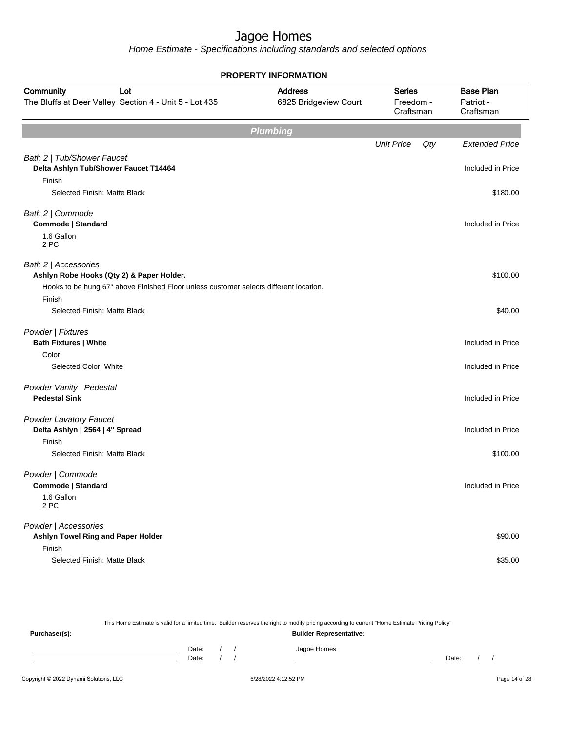Home Estimate - Specifications including standards and selected options

| <b>PROPERTY INFORMATION</b>                                                                     |                                                                                    |                   |     |                       |  |  |  |  |  |                                            |
|-------------------------------------------------------------------------------------------------|------------------------------------------------------------------------------------|-------------------|-----|-----------------------|--|--|--|--|--|--------------------------------------------|
| Community<br>Lot<br>The Bluffs at Deer Valley Section 4 - Unit 5 - Lot 435                      | <b>Address</b><br><b>Series</b><br>6825 Bridgeview Court<br>Freedom -<br>Craftsman |                   |     |                       |  |  |  |  |  | <b>Base Plan</b><br>Patriot -<br>Craftsman |
|                                                                                                 | <b>Plumbing</b>                                                                    |                   |     |                       |  |  |  |  |  |                                            |
|                                                                                                 |                                                                                    | <b>Unit Price</b> | Qty | <b>Extended Price</b> |  |  |  |  |  |                                            |
| Bath 2   Tub/Shower Faucet                                                                      |                                                                                    |                   |     |                       |  |  |  |  |  |                                            |
| Delta Ashlyn Tub/Shower Faucet T14464                                                           |                                                                                    |                   |     | Included in Price     |  |  |  |  |  |                                            |
| Finish                                                                                          |                                                                                    |                   |     |                       |  |  |  |  |  |                                            |
| Selected Finish: Matte Black                                                                    |                                                                                    |                   |     | \$180.00              |  |  |  |  |  |                                            |
| Bath 2   Commode<br>Commode   Standard                                                          |                                                                                    |                   |     | Included in Price     |  |  |  |  |  |                                            |
| 1.6 Gallon<br>2 PC                                                                              |                                                                                    |                   |     |                       |  |  |  |  |  |                                            |
| Bath 2   Accessories<br>Ashlyn Robe Hooks (Qty 2) & Paper Holder.                               |                                                                                    |                   |     | \$100.00              |  |  |  |  |  |                                            |
| Hooks to be hung 67" above Finished Floor unless customer selects different location.<br>Finish |                                                                                    |                   |     |                       |  |  |  |  |  |                                            |
| Selected Finish: Matte Black                                                                    |                                                                                    |                   |     | \$40.00               |  |  |  |  |  |                                            |
| Powder   Fixtures<br><b>Bath Fixtures   White</b>                                               |                                                                                    |                   |     | Included in Price     |  |  |  |  |  |                                            |
| Color                                                                                           |                                                                                    |                   |     |                       |  |  |  |  |  |                                            |
| Selected Color: White                                                                           |                                                                                    |                   |     | Included in Price     |  |  |  |  |  |                                            |
| Powder Vanity   Pedestal<br><b>Pedestal Sink</b>                                                |                                                                                    |                   |     | Included in Price     |  |  |  |  |  |                                            |
| <b>Powder Lavatory Faucet</b><br>Delta Ashlyn   2564   4" Spread                                |                                                                                    |                   |     | Included in Price     |  |  |  |  |  |                                            |
| Finish<br>Selected Finish: Matte Black                                                          |                                                                                    |                   |     | \$100.00              |  |  |  |  |  |                                            |
| Powder   Commode<br>Commode   Standard<br>1.6 Gallon<br>2 PC                                    |                                                                                    |                   |     | Included in Price     |  |  |  |  |  |                                            |
| Powder   Accessories<br>Ashlyn Towel Ring and Paper Holder<br>Finish                            |                                                                                    |                   |     | \$90.00               |  |  |  |  |  |                                            |
| Selected Finish: Matte Black                                                                    |                                                                                    |                   |     | \$35.00               |  |  |  |  |  |                                            |

This Home Estimate is valid for a limited time. Builder reserves the right to modify pricing according to current "Home Estimate Pricing Policy" **Purchaser(s): Builder Representative:** Date: / / Jagoe Homes<br>Date: / / Jagoe Homes Date: / / Date: / /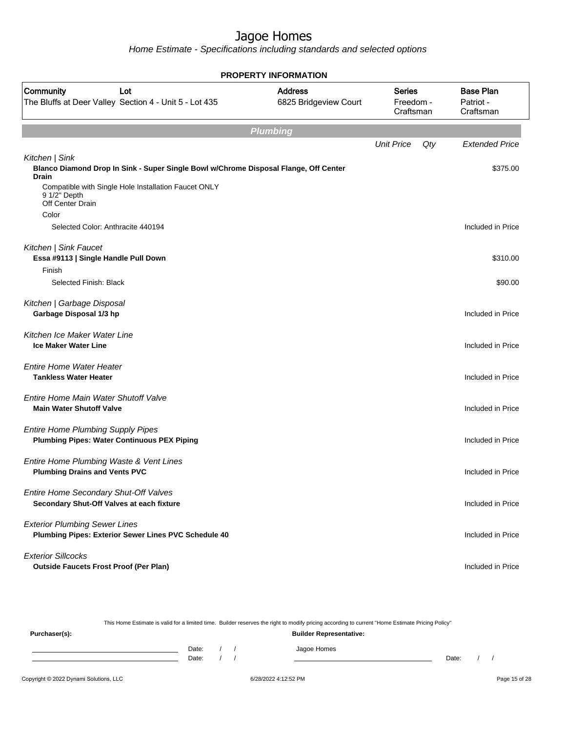Home Estimate - Specifications including standards and selected options

| <b>PROPERTY INFORMATION</b>                                                                    |                                                                                      |                                         |                                         |     |                                            |  |  |
|------------------------------------------------------------------------------------------------|--------------------------------------------------------------------------------------|-----------------------------------------|-----------------------------------------|-----|--------------------------------------------|--|--|
| Community<br>The Bluffs at Deer Valley Section 4 - Unit 5 - Lot 435                            | Lot                                                                                  | <b>Address</b><br>6825 Bridgeview Court | <b>Series</b><br>Freedom -<br>Craftsman |     | <b>Base Plan</b><br>Patriot -<br>Craftsman |  |  |
|                                                                                                |                                                                                      | <b>Plumbing</b>                         |                                         |     |                                            |  |  |
|                                                                                                |                                                                                      |                                         | <b>Unit Price</b>                       | Qty | <b>Extended Price</b>                      |  |  |
| Kitchen   Sink<br><b>Drain</b>                                                                 | Blanco Diamond Drop In Sink - Super Single Bowl w/Chrome Disposal Flange, Off Center |                                         |                                         |     | \$375.00                                   |  |  |
| 9 1/2" Depth<br>Off Center Drain                                                               | Compatible with Single Hole Installation Faucet ONLY                                 |                                         |                                         |     |                                            |  |  |
| Color                                                                                          |                                                                                      |                                         |                                         |     |                                            |  |  |
| Selected Color: Anthracite 440194                                                              |                                                                                      |                                         |                                         |     | Included in Price                          |  |  |
| Kitchen   Sink Faucet<br>Essa #9113   Single Handle Pull Down                                  |                                                                                      |                                         |                                         |     | \$310.00                                   |  |  |
| Finish                                                                                         |                                                                                      |                                         |                                         |     |                                            |  |  |
| Selected Finish: Black                                                                         |                                                                                      |                                         |                                         |     | \$90.00                                    |  |  |
| Kitchen   Garbage Disposal<br>Garbage Disposal 1/3 hp                                          |                                                                                      |                                         |                                         |     | Included in Price                          |  |  |
| Kitchen Ice Maker Water Line<br><b>Ice Maker Water Line</b>                                    |                                                                                      |                                         |                                         |     | Included in Price                          |  |  |
| Entire Home Water Heater<br><b>Tankless Water Heater</b>                                       |                                                                                      |                                         |                                         |     | Included in Price                          |  |  |
| Entire Home Main Water Shutoff Valve<br><b>Main Water Shutoff Valve</b>                        |                                                                                      |                                         |                                         |     | Included in Price                          |  |  |
| <b>Entire Home Plumbing Supply Pipes</b><br><b>Plumbing Pipes: Water Continuous PEX Piping</b> |                                                                                      |                                         |                                         |     | Included in Price                          |  |  |
| Entire Home Plumbing Waste & Vent Lines<br><b>Plumbing Drains and Vents PVC</b>                |                                                                                      |                                         |                                         |     | Included in Price                          |  |  |
| Entire Home Secondary Shut-Off Valves<br>Secondary Shut-Off Valves at each fixture             |                                                                                      |                                         |                                         |     | Included in Price                          |  |  |
| <b>Exterior Plumbing Sewer Lines</b>                                                           | Plumbing Pipes: Exterior Sewer Lines PVC Schedule 40                                 |                                         |                                         |     | Included in Price                          |  |  |
| <b>Exterior Sillcocks</b><br><b>Outside Faucets Frost Proof (Per Plan)</b>                     |                                                                                      |                                         |                                         |     | Included in Price                          |  |  |

This Home Estimate is valid for a limited time. Builder reserves the right to modify pricing according to current "Home Estimate Pricing Policy" **Purchaser(s): Builder Representative:** Date: / / Jagoe Homes<br>Date: / / Jagoe Homes Date: / / **Date: / / 2006** Date: / / / Date: / / / Date: / / / 2006 Date: / / / 2006 Date: / / / 2006 Date: / / / 2006 Date: / / / 2007 Date: / / / 2007 Date: / / / 2007 Date: / / / 2007 Date: / / / 2007 Date: / / / 2007 D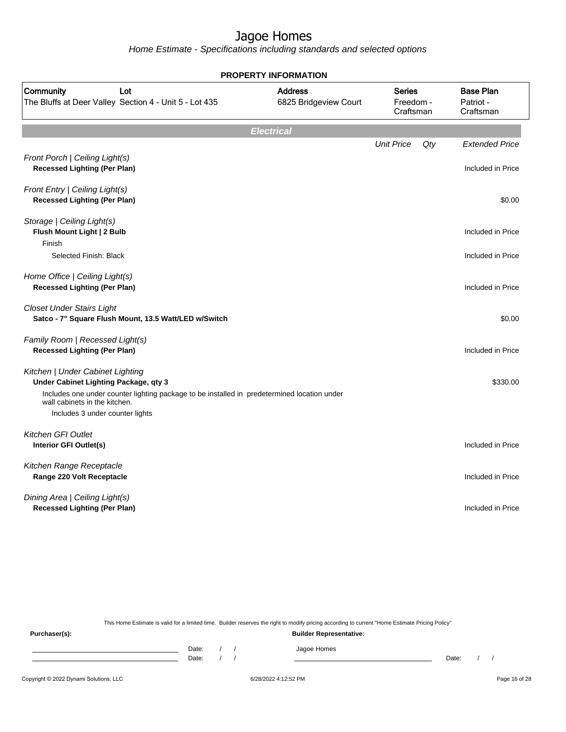Home Estimate - Specifications including standards and selected options

|                                                                                                                              | <b>PROPERTY INFORMATION</b>             |                                         |     |                                            |
|------------------------------------------------------------------------------------------------------------------------------|-----------------------------------------|-----------------------------------------|-----|--------------------------------------------|
| Community<br>Lot<br>The Bluffs at Deer Valley Section 4 - Unit 5 - Lot 435                                                   | <b>Address</b><br>6825 Bridgeview Court | <b>Series</b><br>Freedom -<br>Craftsman |     | <b>Base Plan</b><br>Patriot -<br>Craftsman |
|                                                                                                                              | <b>Electrical</b>                       |                                         |     |                                            |
| Front Porch   Ceiling Light(s)<br><b>Recessed Lighting (Per Plan)</b>                                                        |                                         | <b>Unit Price</b>                       | Qty | <b>Extended Price</b><br>Included in Price |
| Front Entry   Ceiling Light(s)<br><b>Recessed Lighting (Per Plan)</b>                                                        |                                         |                                         |     | \$0.00                                     |
| Storage   Ceiling Light(s)<br>Flush Mount Light   2 Bulb<br>Finish                                                           |                                         |                                         |     | Included in Price                          |
| Selected Finish: Black                                                                                                       |                                         |                                         |     | Included in Price                          |
| Home Office   Ceiling Light(s)<br><b>Recessed Lighting (Per Plan)</b>                                                        |                                         |                                         |     | Included in Price                          |
| <b>Closet Under Stairs Light</b><br>Satco - 7" Square Flush Mount, 13.5 Watt/LED w/Switch                                    |                                         |                                         |     | \$0.00                                     |
| Family Room   Recessed Light(s)<br><b>Recessed Lighting (Per Plan)</b>                                                       |                                         |                                         |     | Included in Price                          |
| Kitchen   Under Cabinet Lighting<br>Under Cabinet Lighting Package, qty 3                                                    |                                         |                                         |     | \$330.00                                   |
| Includes one under counter lighting package to be installed in predetermined location under<br>wall cabinets in the kitchen. |                                         |                                         |     |                                            |
| Includes 3 under counter lights                                                                                              |                                         |                                         |     |                                            |
| <b>Kitchen GFI Outlet</b><br>Interior GFI Outlet(s)                                                                          |                                         |                                         |     | Included in Price                          |
| Kitchen Range Receptacle<br>Range 220 Volt Receptacle                                                                        |                                         |                                         |     | Included in Price                          |
| Dining Area   Ceiling Light(s)<br><b>Recessed Lighting (Per Plan)</b>                                                        |                                         |                                         |     | Included in Price                          |

This Home Estimate is valid for a limited time. Builder reserves the right to modify pricing according to current "Home Estimate Pricing Policy"

**Purchaser(s): Builder Representative:** Date: / / Jagoe Homes<br>Date: / / Jagoe Homes Date: / / Date: / /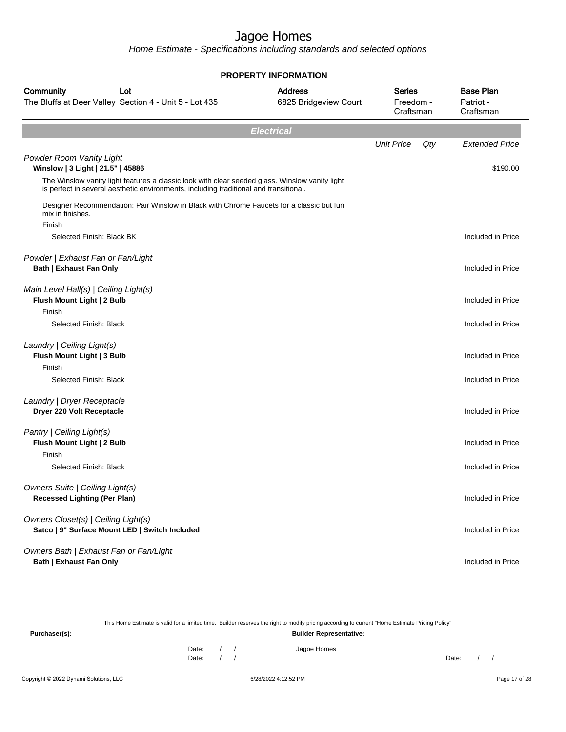Home Estimate - Specifications including standards and selected options

|                                                                                                                                                                                         | <b>PROPERTY INFORMATION</b>             |                                         |     |                                            |
|-----------------------------------------------------------------------------------------------------------------------------------------------------------------------------------------|-----------------------------------------|-----------------------------------------|-----|--------------------------------------------|
| Community<br>Lot<br>The Bluffs at Deer Valley Section 4 - Unit 5 - Lot 435                                                                                                              | <b>Address</b><br>6825 Bridgeview Court | <b>Series</b><br>Freedom -<br>Craftsman |     | <b>Base Plan</b><br>Patriot -<br>Craftsman |
|                                                                                                                                                                                         | <b>Electrical</b>                       |                                         |     |                                            |
|                                                                                                                                                                                         |                                         | <b>Unit Price</b>                       | Qty | <b>Extended Price</b>                      |
| Powder Room Vanity Light<br>Winslow   3 Light   21.5"   45886                                                                                                                           |                                         |                                         |     | \$190.00                                   |
| The Winslow vanity light features a classic look with clear seeded glass. Winslow vanity light<br>is perfect in several aesthetic environments, including traditional and transitional. |                                         |                                         |     |                                            |
| Designer Recommendation: Pair Winslow in Black with Chrome Faucets for a classic but fun<br>mix in finishes.                                                                            |                                         |                                         |     |                                            |
| Finish<br>Selected Finish: Black BK                                                                                                                                                     |                                         |                                         |     | Included in Price                          |
| Powder   Exhaust Fan or Fan/Light<br><b>Bath   Exhaust Fan Only</b>                                                                                                                     |                                         |                                         |     | Included in Price                          |
| Main Level Hall(s)   Ceiling Light(s)<br>Flush Mount Light   2 Bulb                                                                                                                     |                                         |                                         |     | Included in Price                          |
| Finish<br>Selected Finish: Black                                                                                                                                                        |                                         |                                         |     | Included in Price                          |
| Laundry   Ceiling Light(s)<br>Flush Mount Light   3 Bulb<br>Finish                                                                                                                      |                                         |                                         |     | Included in Price                          |
| Selected Finish: Black                                                                                                                                                                  |                                         |                                         |     | Included in Price                          |
| Laundry   Dryer Receptacle<br>Dryer 220 Volt Receptacle                                                                                                                                 |                                         |                                         |     | Included in Price                          |
| Pantry   Ceiling Light(s)<br>Flush Mount Light   2 Bulb<br>Finish                                                                                                                       |                                         |                                         |     | Included in Price                          |
| Selected Finish: Black                                                                                                                                                                  |                                         |                                         |     | Included in Price                          |
| Owners Suite   Ceiling Light(s)<br><b>Recessed Lighting (Per Plan)</b>                                                                                                                  |                                         |                                         |     | Included in Price                          |
| Owners Closet(s)   Ceiling Light(s)<br>Satco   9" Surface Mount LED   Switch Included                                                                                                   |                                         |                                         |     | Included in Price                          |
| Owners Bath   Exhaust Fan or Fan/Light<br><b>Bath   Exhaust Fan Only</b>                                                                                                                |                                         |                                         |     | Included in Price                          |

This Home Estimate is valid for a limited time. Builder reserves the right to modify pricing according to current "Home Estimate Pricing Policy"

**Purchaser(s): Builder Representative:** Date: / / Jagoe Homes<br>Date: / / Jagoe Homes Date: / / **Date: / / 2006** Date: / / / Date: / / / Date: / / / 2006 Date: / / / 2006 Date: / / / 2006 Date: / / / 2006 Date: / / / 2007 Date: / / / 2007 Date: / / / 2007 Date: / / / 2007 Date: / / / 2007 Date: / / / 2007 D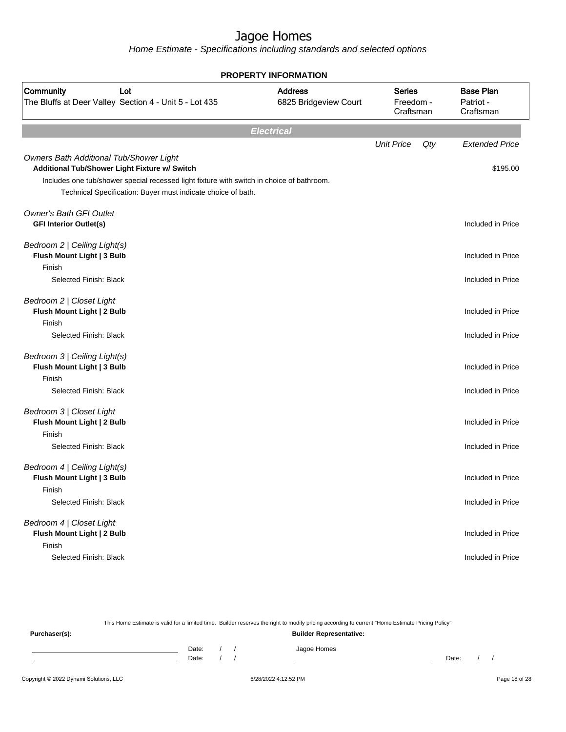Home Estimate - Specifications including standards and selected options

| <b>PROPERTY INFORMATION</b>                                                                                                                                                                                                                           |                                         |                                         |     |                                            |
|-------------------------------------------------------------------------------------------------------------------------------------------------------------------------------------------------------------------------------------------------------|-----------------------------------------|-----------------------------------------|-----|--------------------------------------------|
| Community<br>Lot<br>The Bluffs at Deer Valley Section 4 - Unit 5 - Lot 435                                                                                                                                                                            | <b>Address</b><br>6825 Bridgeview Court | <b>Series</b><br>Freedom -<br>Craftsman |     | <b>Base Plan</b><br>Patriot -<br>Craftsman |
|                                                                                                                                                                                                                                                       | <b>Electrical</b>                       |                                         |     |                                            |
| Owners Bath Additional Tub/Shower Light<br>Additional Tub/Shower Light Fixture w/ Switch<br>Includes one tub/shower special recessed light fixture with switch in choice of bathroom.<br>Technical Specification: Buyer must indicate choice of bath. |                                         | <b>Unit Price</b>                       | Qty | <b>Extended Price</b><br>\$195.00          |
| <b>Owner's Bath GFI Outlet</b><br><b>GFI Interior Outlet(s)</b>                                                                                                                                                                                       |                                         |                                         |     | Included in Price                          |
| Bedroom 2   Ceiling Light(s)<br>Flush Mount Light   3 Bulb<br>Finish                                                                                                                                                                                  |                                         |                                         |     | Included in Price                          |
| Selected Finish: Black                                                                                                                                                                                                                                |                                         |                                         |     | Included in Price                          |
| Bedroom 2   Closet Light<br>Flush Mount Light   2 Bulb<br>Finish<br>Selected Finish: Black                                                                                                                                                            |                                         |                                         |     | Included in Price<br>Included in Price     |
| Bedroom 3   Ceiling Light(s)<br>Flush Mount Light   3 Bulb<br>Finish<br>Selected Finish: Black                                                                                                                                                        |                                         |                                         |     | Included in Price<br>Included in Price     |
| Bedroom 3   Closet Light<br>Flush Mount Light   2 Bulb<br>Finish<br>Selected Finish: Black                                                                                                                                                            |                                         |                                         |     | Included in Price<br>Included in Price     |
| Bedroom 4   Ceiling Light(s)<br>Flush Mount Light   3 Bulb<br>Finish<br>Selected Finish: Black                                                                                                                                                        |                                         |                                         |     | Included in Price<br>Included in Price     |
| Bedroom 4   Closet Light<br>Flush Mount Light   2 Bulb<br>Finish<br>Selected Finish: Black                                                                                                                                                            |                                         |                                         |     | Included in Price<br>Included in Price     |

This Home Estimate is valid for a limited time. Builder reserves the right to modify pricing according to current "Home Estimate Pricing Policy" **Purchaser(s): Builder Representative:**

Date: / / Jagoe Homes<br>Date: / / Jagoe Homes Date: / / **Date: / / 2006** Date: / / / Date: / / / Date: / / / 2006 Date: / / / 2006 Date: / / / 2006 Date: / / / 2006 Date: / / / 2007 Date: / / / 2007 Date: / / / 2007 Date: / / / 2007 Date: / / / 2007 Date: / / / 2007 D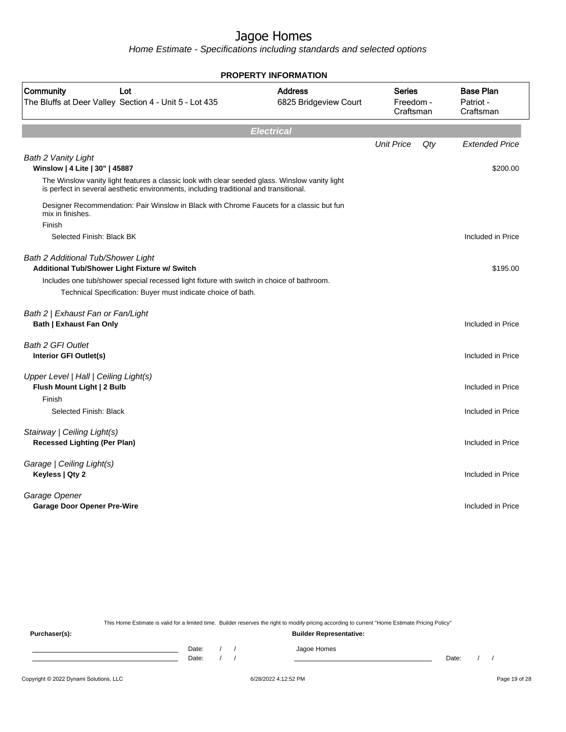Home Estimate - Specifications including standards and selected options

| <b>PROPERTY INFORMATION</b>                                         |                                                                                                                                                                                         |                                         |                                  |     |                                            |
|---------------------------------------------------------------------|-----------------------------------------------------------------------------------------------------------------------------------------------------------------------------------------|-----------------------------------------|----------------------------------|-----|--------------------------------------------|
| Community                                                           | Lot<br>The Bluffs at Deer Valley Section 4 - Unit 5 - Lot 435                                                                                                                           | <b>Address</b><br>6825 Bridgeview Court | Series<br>Freedom -<br>Craftsman |     | <b>Base Plan</b><br>Patriot -<br>Craftsman |
|                                                                     |                                                                                                                                                                                         | <b>Electrical</b>                       |                                  |     |                                            |
| <b>Bath 2 Vanity Light</b>                                          |                                                                                                                                                                                         |                                         | <b>Unit Price</b>                | Qty | <b>Extended Price</b>                      |
| Winslow   4 Lite   30"   45887                                      |                                                                                                                                                                                         |                                         |                                  |     | \$200.00                                   |
|                                                                     | The Winslow vanity light features a classic look with clear seeded glass. Winslow vanity light<br>is perfect in several aesthetic environments, including traditional and transitional. |                                         |                                  |     |                                            |
| mix in finishes.<br>Finish                                          | Designer Recommendation: Pair Winslow in Black with Chrome Faucets for a classic but fun                                                                                                |                                         |                                  |     |                                            |
| Selected Finish: Black BK                                           |                                                                                                                                                                                         |                                         |                                  |     | Included in Price                          |
| <b>Bath 2 Additional Tub/Shower Light</b>                           | Additional Tub/Shower Light Fixture w/ Switch                                                                                                                                           |                                         |                                  |     | \$195.00                                   |
|                                                                     | Includes one tub/shower special recessed light fixture with switch in choice of bathroom.                                                                                               |                                         |                                  |     |                                            |
|                                                                     | Technical Specification: Buyer must indicate choice of bath.                                                                                                                            |                                         |                                  |     |                                            |
| Bath 2   Exhaust Fan or Fan/Light<br><b>Bath   Exhaust Fan Only</b> |                                                                                                                                                                                         |                                         |                                  |     | Included in Price                          |
| <b>Bath 2 GFI Outlet</b><br>Interior GFI Outlet(s)                  |                                                                                                                                                                                         |                                         |                                  |     | Included in Price                          |
| Upper Level   Hall   Ceiling Light(s)<br>Flush Mount Light   2 Bulb |                                                                                                                                                                                         |                                         |                                  |     | Included in Price                          |
| Finish<br>Selected Finish: Black                                    |                                                                                                                                                                                         |                                         |                                  |     | Included in Price                          |
| Stairway   Ceiling Light(s)<br><b>Recessed Lighting (Per Plan)</b>  |                                                                                                                                                                                         |                                         |                                  |     | Included in Price                          |
| Garage   Ceiling Light(s)<br>Keyless   Qty 2                        |                                                                                                                                                                                         |                                         |                                  |     | Included in Price                          |
| Garage Opener<br><b>Garage Door Opener Pre-Wire</b>                 |                                                                                                                                                                                         |                                         |                                  |     | Included in Price                          |
|                                                                     |                                                                                                                                                                                         |                                         |                                  |     |                                            |

This Home Estimate is valid for a limited time. Builder reserves the right to modify pricing according to current "Home Estimate Pricing Policy"

**Purchaser(s): Builder Representative:** Date: / / Jagoe Homes<br>Date: / / Jagoe Homes Date: / / **Date: / / 2006** Date: / / / Date: / / / Date: / / / 2006 Date: / / / 2006 Date: / / / 2006 Date: / / / 2006 Date: / / / 2007 Date: / / / 2007 Date: / / / 2007 Date: / / / 2007 Date: / / / 2007 Date: / / / 2007 D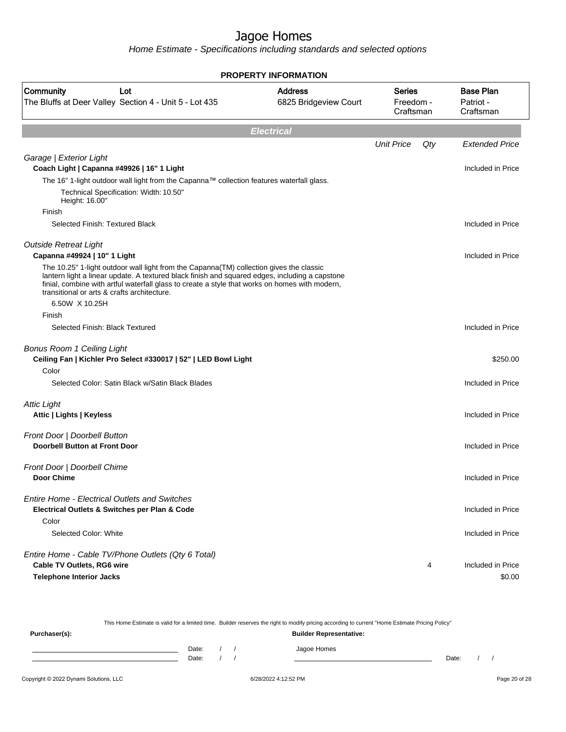|                                                                                                                                               | <b>PROPERTY INFORMATION</b>             |                                         |     |                                            |
|-----------------------------------------------------------------------------------------------------------------------------------------------|-----------------------------------------|-----------------------------------------|-----|--------------------------------------------|
| Community<br>Lot<br>The Bluffs at Deer Valley Section 4 - Unit 5 - Lot 435                                                                    | <b>Address</b><br>6825 Bridgeview Court | <b>Series</b><br>Freedom -<br>Craftsman |     | <b>Base Plan</b><br>Patriot -<br>Craftsman |
|                                                                                                                                               | <b>Electrical</b>                       |                                         |     |                                            |
|                                                                                                                                               |                                         | <b>Unit Price</b>                       | Qty | <b>Extended Price</b>                      |
| Garage   Exterior Light                                                                                                                       |                                         |                                         |     |                                            |
| Coach Light   Capanna #49926   16" 1 Light                                                                                                    |                                         |                                         |     | Included in Price                          |
| The 16" 1-light outdoor wall light from the Capanna™ collection features waterfall glass.                                                     |                                         |                                         |     |                                            |
| Technical Specification: Width: 10.50"<br>Height: 16.00"                                                                                      |                                         |                                         |     |                                            |
| Finish                                                                                                                                        |                                         |                                         |     |                                            |
| Selected Finish: Textured Black                                                                                                               |                                         |                                         |     | Included in Price                          |
|                                                                                                                                               |                                         |                                         |     |                                            |
| <b>Outside Retreat Light</b>                                                                                                                  |                                         |                                         |     | Included in Price                          |
| Capanna #49924   10" 1 Light<br>The 10.25" 1-light outdoor wall light from the Capanna(TM) collection gives the classic                       |                                         |                                         |     |                                            |
| lantern light a linear update. A textured black finish and squared edges, including a capstone                                                |                                         |                                         |     |                                            |
| finial, combine with artful waterfall glass to create a style that works on homes with modern,<br>transitional or arts & crafts architecture. |                                         |                                         |     |                                            |
| 6.50W X 10.25H                                                                                                                                |                                         |                                         |     |                                            |
| Finish                                                                                                                                        |                                         |                                         |     |                                            |
| Selected Finish: Black Textured                                                                                                               |                                         |                                         |     | Included in Price                          |
|                                                                                                                                               |                                         |                                         |     |                                            |
| <b>Bonus Room 1 Ceiling Light</b>                                                                                                             |                                         |                                         |     |                                            |
| Ceiling Fan   Kichler Pro Select #330017   52"   LED Bowl Light                                                                               |                                         |                                         |     | \$250.00                                   |
| Color                                                                                                                                         |                                         |                                         |     |                                            |
| Selected Color: Satin Black w/Satin Black Blades                                                                                              |                                         |                                         |     | Included in Price                          |
| <b>Attic Light</b>                                                                                                                            |                                         |                                         |     |                                            |
| Attic   Lights   Keyless                                                                                                                      |                                         |                                         |     | Included in Price                          |
|                                                                                                                                               |                                         |                                         |     |                                            |
| Front Door   Doorbell Button                                                                                                                  |                                         |                                         |     |                                            |
| <b>Doorbell Button at Front Door</b>                                                                                                          |                                         |                                         |     | Included in Price                          |
| Front Door   Doorbell Chime                                                                                                                   |                                         |                                         |     |                                            |
| Door Chime                                                                                                                                    |                                         |                                         |     | Included in Price                          |
|                                                                                                                                               |                                         |                                         |     |                                            |
| <b>Entire Home - Electrical Outlets and Switches</b>                                                                                          |                                         |                                         |     |                                            |
| Electrical Outlets & Switches per Plan & Code                                                                                                 |                                         |                                         |     | Included in Price                          |
| Color<br>Selected Color: White                                                                                                                |                                         |                                         |     |                                            |
|                                                                                                                                               |                                         |                                         |     | Included in Price                          |
| Entire Home - Cable TV/Phone Outlets (Qty 6 Total)                                                                                            |                                         |                                         |     |                                            |
| Cable TV Outlets, RG6 wire                                                                                                                    |                                         |                                         | 4   | Included in Price                          |
| <b>Telephone Interior Jacks</b>                                                                                                               |                                         |                                         |     | \$0.00                                     |
|                                                                                                                                               |                                         |                                         |     |                                            |

| This Home Estimate is valid for a limited time. Builder reserves the right to modify pricing according to current "Home Estimate Pricing Policy" |                                |  |  |             |       |  |  |
|--------------------------------------------------------------------------------------------------------------------------------------------------|--------------------------------|--|--|-------------|-------|--|--|
| Purchaser(s):                                                                                                                                    | <b>Builder Representative:</b> |  |  |             |       |  |  |
|                                                                                                                                                  | Date:                          |  |  | Jagoe Homes |       |  |  |
|                                                                                                                                                  | Date:                          |  |  |             | Date: |  |  |
|                                                                                                                                                  |                                |  |  |             |       |  |  |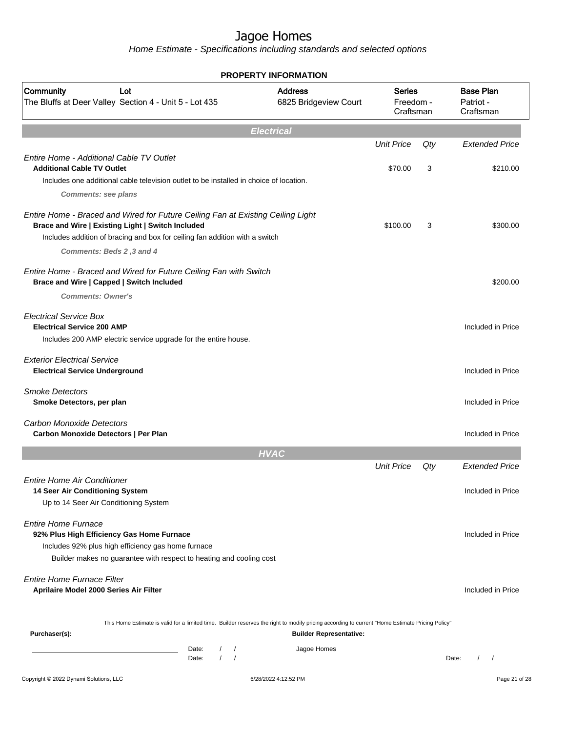|                                                                                                                                                                                                                     | <b>PROPERTY INFORMATION</b>             |                                         |        |                                            |
|---------------------------------------------------------------------------------------------------------------------------------------------------------------------------------------------------------------------|-----------------------------------------|-----------------------------------------|--------|--------------------------------------------|
| Community<br>Lot<br>The Bluffs at Deer Valley Section 4 - Unit 5 - Lot 435                                                                                                                                          | <b>Address</b><br>6825 Bridgeview Court | <b>Series</b><br>Freedom -<br>Craftsman |        | <b>Base Plan</b><br>Patriot -<br>Craftsman |
|                                                                                                                                                                                                                     | <b>Electrical</b>                       |                                         |        |                                            |
|                                                                                                                                                                                                                     |                                         | <b>Unit Price</b>                       | Qty    | <b>Extended Price</b>                      |
| Entire Home - Additional Cable TV Outlet<br><b>Additional Cable TV Outlet</b>                                                                                                                                       |                                         | \$70.00                                 | 3      | \$210.00                                   |
| Includes one additional cable television outlet to be installed in choice of location.                                                                                                                              |                                         |                                         |        |                                            |
| <b>Comments: see plans</b>                                                                                                                                                                                          |                                         |                                         |        |                                            |
| Entire Home - Braced and Wired for Future Ceiling Fan at Existing Ceiling Light<br>Brace and Wire   Existing Light   Switch Included<br>Includes addition of bracing and box for ceiling fan addition with a switch |                                         | \$100.00                                | 3      | \$300.00                                   |
| Comments: Beds 2,3 and 4                                                                                                                                                                                            |                                         |                                         |        |                                            |
| Entire Home - Braced and Wired for Future Ceiling Fan with Switch<br>Brace and Wire   Capped   Switch Included                                                                                                      |                                         |                                         |        | \$200.00                                   |
| <b>Comments: Owner's</b>                                                                                                                                                                                            |                                         |                                         |        |                                            |
| <b>Electrical Service Box</b><br><b>Electrical Service 200 AMP</b><br>Includes 200 AMP electric service upgrade for the entire house.                                                                               |                                         |                                         |        | Included in Price                          |
| <b>Exterior Electrical Service</b><br><b>Electrical Service Underground</b>                                                                                                                                         |                                         |                                         |        | Included in Price                          |
| <b>Smoke Detectors</b><br>Smoke Detectors, per plan                                                                                                                                                                 |                                         |                                         |        | Included in Price                          |
| <b>Carbon Monoxide Detectors</b><br>Carbon Monoxide Detectors   Per Plan                                                                                                                                            |                                         |                                         |        | Included in Price                          |
|                                                                                                                                                                                                                     | <b>HVAC</b>                             |                                         |        |                                            |
|                                                                                                                                                                                                                     |                                         | <b>Unit Price</b>                       | $Q$ ty | <b>Extended Price</b>                      |
| <b>Entire Home Air Conditioner</b><br>14 Seer Air Conditioning System<br>Up to 14 Seer Air Conditioning System                                                                                                      |                                         |                                         |        | Included in Price                          |
| <b>Entire Home Furnace</b><br>92% Plus High Efficiency Gas Home Furnace<br>Includes 92% plus high efficiency gas home furnace<br>Builder makes no guarantee with respect to heating and cooling cost                |                                         |                                         |        | Included in Price                          |
| <b>Entire Home Furnace Filter</b><br>Aprilaire Model 2000 Series Air Filter                                                                                                                                         |                                         |                                         |        | Included in Price                          |
| This Home Estimate is valid for a limited time. Builder reserves the right to modify pricing according to current "Home Estimate Pricing Policy"<br>Purchaser(s):                                                   | <b>Builder Representative:</b>          |                                         |        |                                            |
| Date:<br>$\sqrt{2}$<br>the control of the control of the control of<br>$\prime$<br>$\sqrt{ }$<br>Date:                                                                                                              | Jagoe Homes                             |                                         |        | $\prime$<br>Date:<br>$\sqrt{ }$            |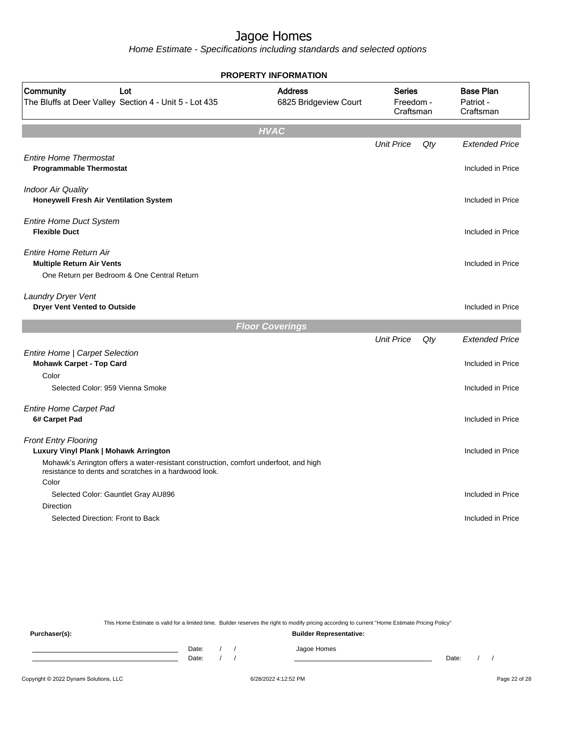Home Estimate - Specifications including standards and selected options

|                                                                                                                                                               | <b>PROPERTY INFORMATION</b>             |                                         |     |                                            |
|---------------------------------------------------------------------------------------------------------------------------------------------------------------|-----------------------------------------|-----------------------------------------|-----|--------------------------------------------|
| Community<br>Lot<br>The Bluffs at Deer Valley Section 4 - Unit 5 - Lot 435                                                                                    | <b>Address</b><br>6825 Bridgeview Court | <b>Series</b><br>Freedom -<br>Craftsman |     | <b>Base Plan</b><br>Patriot -<br>Craftsman |
|                                                                                                                                                               | <b>HVAC</b>                             |                                         |     |                                            |
|                                                                                                                                                               |                                         | <b>Unit Price</b>                       | Qty | <b>Extended Price</b>                      |
| <b>Entire Home Thermostat</b><br><b>Programmable Thermostat</b>                                                                                               |                                         |                                         |     | Included in Price                          |
| <b>Indoor Air Quality</b><br>Honeywell Fresh Air Ventilation System                                                                                           |                                         |                                         |     | Included in Price                          |
| <b>Entire Home Duct System</b><br><b>Flexible Duct</b>                                                                                                        |                                         |                                         |     | Included in Price                          |
| <b>Entire Home Return Air</b><br><b>Multiple Return Air Vents</b><br>One Return per Bedroom & One Central Return                                              |                                         |                                         |     | Included in Price                          |
| Laundry Dryer Vent<br><b>Dryer Vent Vented to Outside</b>                                                                                                     |                                         |                                         |     | Included in Price                          |
|                                                                                                                                                               | <b>Floor Coverings</b>                  |                                         |     |                                            |
|                                                                                                                                                               |                                         | <b>Unit Price</b>                       | Qty | <b>Extended Price</b>                      |
| Entire Home   Carpet Selection<br><b>Mohawk Carpet - Top Card</b>                                                                                             |                                         |                                         |     | Included in Price                          |
| Color                                                                                                                                                         |                                         |                                         |     |                                            |
| Selected Color: 959 Vienna Smoke                                                                                                                              |                                         |                                         |     | Included in Price                          |
| <b>Entire Home Carpet Pad</b><br>6# Carpet Pad                                                                                                                |                                         |                                         |     | Included in Price                          |
| <b>Front Entry Flooring</b><br>Luxury Vinyl Plank   Mohawk Arrington<br>Mohawk's Arrington offers a water-resistant construction, comfort underfoot, and high |                                         |                                         |     | Included in Price                          |
| resistance to dents and scratches in a hardwood look.<br>Color                                                                                                |                                         |                                         |     |                                            |
| Selected Color: Gauntlet Gray AU896                                                                                                                           |                                         |                                         |     | Included in Price                          |
| Direction<br>Selected Direction: Front to Back                                                                                                                |                                         |                                         |     | Included in Price                          |
|                                                                                                                                                               |                                         |                                         |     |                                            |

This Home Estimate is valid for a limited time. Builder reserves the right to modify pricing according to current "Home Estimate Pricing Policy" **Purchaser(s): Builder Representative:**

Date: / / Jagoe Homes<br>Date: / / Jagoe Homes Date: / / Date: / /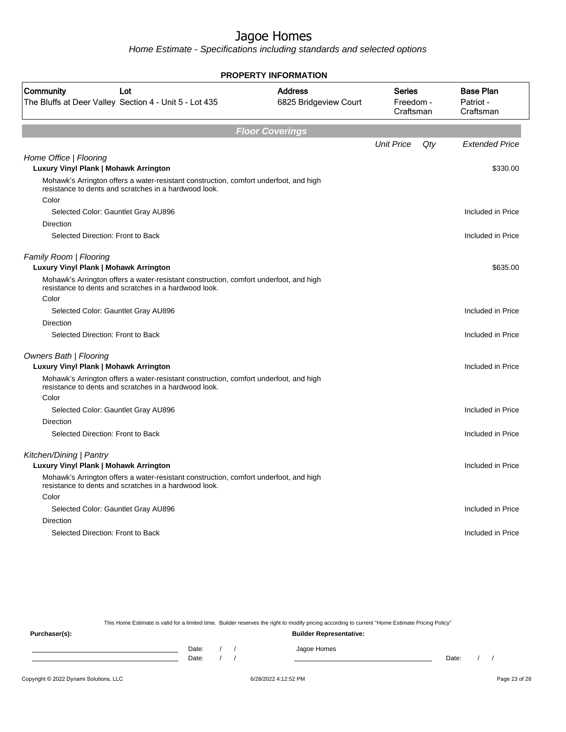Home Estimate - Specifications including standards and selected options

| <b>PROPERTY INFORMATION</b>                                                                                                                             |                                         |                                  |     |                                            |
|---------------------------------------------------------------------------------------------------------------------------------------------------------|-----------------------------------------|----------------------------------|-----|--------------------------------------------|
| Community<br>Lot<br>The Bluffs at Deer Valley Section 4 - Unit 5 - Lot 435                                                                              | <b>Address</b><br>6825 Bridgeview Court | Series<br>Freedom -<br>Craftsman |     | <b>Base Plan</b><br>Patriot -<br>Craftsman |
|                                                                                                                                                         | <b>Floor Coverings</b>                  |                                  |     |                                            |
|                                                                                                                                                         |                                         | <b>Unit Price</b>                | Qty | <b>Extended Price</b>                      |
| Home Office   Flooring<br>Luxury Vinyl Plank   Mohawk Arrington                                                                                         |                                         |                                  |     | \$330.00                                   |
| Mohawk's Arrington offers a water-resistant construction, comfort underfoot, and high<br>resistance to dents and scratches in a hardwood look.<br>Color |                                         |                                  |     |                                            |
| Selected Color: Gauntlet Gray AU896                                                                                                                     |                                         |                                  |     | Included in Price                          |
| Direction                                                                                                                                               |                                         |                                  |     |                                            |
| Selected Direction: Front to Back                                                                                                                       |                                         |                                  |     | Included in Price                          |
| Family Room   Flooring<br>Luxury Vinyl Plank   Mohawk Arrington                                                                                         |                                         |                                  |     | \$635.00                                   |
| Mohawk's Arrington offers a water-resistant construction, comfort underfoot, and high<br>resistance to dents and scratches in a hardwood look.          |                                         |                                  |     |                                            |
| Color                                                                                                                                                   |                                         |                                  |     |                                            |
| Selected Color: Gauntlet Gray AU896                                                                                                                     |                                         |                                  |     | Included in Price                          |
| Direction                                                                                                                                               |                                         |                                  |     |                                            |
| Selected Direction: Front to Back                                                                                                                       |                                         |                                  |     | Included in Price                          |
| <b>Owners Bath   Flooring</b>                                                                                                                           |                                         |                                  |     |                                            |
| Luxury Vinyl Plank   Mohawk Arrington                                                                                                                   |                                         |                                  |     | Included in Price                          |
| Mohawk's Arrington offers a water-resistant construction, comfort underfoot, and high<br>resistance to dents and scratches in a hardwood look.          |                                         |                                  |     |                                            |
| Color                                                                                                                                                   |                                         |                                  |     |                                            |
| Selected Color: Gauntlet Gray AU896                                                                                                                     |                                         |                                  |     | Included in Price                          |
| Direction                                                                                                                                               |                                         |                                  |     |                                            |
| Selected Direction: Front to Back                                                                                                                       |                                         |                                  |     | Included in Price                          |
| Kitchen/Dining   Pantry                                                                                                                                 |                                         |                                  |     |                                            |
| Luxury Vinyl Plank   Mohawk Arrington                                                                                                                   |                                         |                                  |     | Included in Price                          |
| Mohawk's Arrington offers a water-resistant construction, comfort underfoot, and high<br>resistance to dents and scratches in a hardwood look.          |                                         |                                  |     |                                            |
| Color                                                                                                                                                   |                                         |                                  |     |                                            |
| Selected Color: Gauntlet Gray AU896                                                                                                                     |                                         |                                  |     | Included in Price                          |
| Direction                                                                                                                                               |                                         |                                  |     |                                            |
| Selected Direction: Front to Back                                                                                                                       |                                         |                                  |     | Included in Price                          |
|                                                                                                                                                         |                                         |                                  |     |                                            |

This Home Estimate is valid for a limited time. Builder reserves the right to modify pricing according to current "Home Estimate Pricing Policy"

**Purchaser(s): Builder Representative:** Date: / / Jagoe Homes<br>Date: / / Jagoe Homes Date: / / Date: / /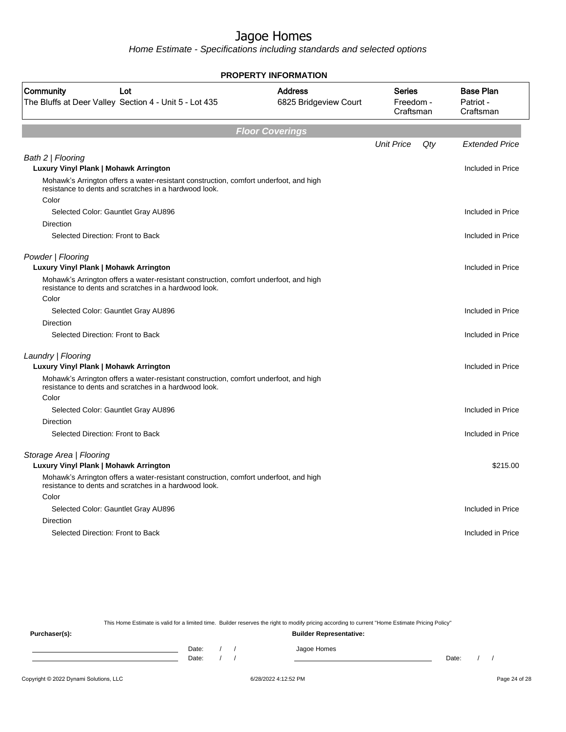Home Estimate - Specifications including standards and selected options

|                                                                                                                                                         | <b>PROPERTY INFORMATION</b>             |                                  |     |                                            |
|---------------------------------------------------------------------------------------------------------------------------------------------------------|-----------------------------------------|----------------------------------|-----|--------------------------------------------|
| Community<br>Lot<br>The Bluffs at Deer Valley Section 4 - Unit 5 - Lot 435                                                                              | <b>Address</b><br>6825 Bridgeview Court | Series<br>Freedom -<br>Craftsman |     | <b>Base Plan</b><br>Patriot -<br>Craftsman |
|                                                                                                                                                         | <b>Floor Coverings</b>                  |                                  |     |                                            |
|                                                                                                                                                         |                                         | <b>Unit Price</b>                | Qty | <b>Extended Price</b>                      |
| Bath 2   Flooring<br>Luxury Vinyl Plank   Mohawk Arrington                                                                                              |                                         |                                  |     | Included in Price                          |
| Mohawk's Arrington offers a water-resistant construction, comfort underfoot, and high<br>resistance to dents and scratches in a hardwood look.<br>Color |                                         |                                  |     |                                            |
| Selected Color: Gauntlet Gray AU896                                                                                                                     |                                         |                                  |     | Included in Price                          |
| Direction                                                                                                                                               |                                         |                                  |     |                                            |
| Selected Direction: Front to Back                                                                                                                       |                                         |                                  |     | Included in Price                          |
| Powder   Flooring<br>Luxury Vinyl Plank   Mohawk Arrington                                                                                              |                                         |                                  |     | Included in Price                          |
| Mohawk's Arrington offers a water-resistant construction, comfort underfoot, and high<br>resistance to dents and scratches in a hardwood look.          |                                         |                                  |     |                                            |
| Color                                                                                                                                                   |                                         |                                  |     |                                            |
| Selected Color: Gauntlet Gray AU896                                                                                                                     |                                         |                                  |     | Included in Price                          |
| Direction<br>Selected Direction: Front to Back                                                                                                          |                                         |                                  |     | Included in Price                          |
|                                                                                                                                                         |                                         |                                  |     |                                            |
| Laundry   Flooring                                                                                                                                      |                                         |                                  |     |                                            |
| Luxury Vinyl Plank   Mohawk Arrington                                                                                                                   |                                         |                                  |     | Included in Price                          |
| Mohawk's Arrington offers a water-resistant construction, comfort underfoot, and high<br>resistance to dents and scratches in a hardwood look.          |                                         |                                  |     |                                            |
| Color                                                                                                                                                   |                                         |                                  |     |                                            |
| Selected Color: Gauntlet Gray AU896                                                                                                                     |                                         |                                  |     | Included in Price                          |
| Direction                                                                                                                                               |                                         |                                  |     |                                            |
| Selected Direction: Front to Back                                                                                                                       |                                         |                                  |     | Included in Price                          |
| Storage Area   Flooring                                                                                                                                 |                                         |                                  |     |                                            |
| Luxury Vinyl Plank   Mohawk Arrington                                                                                                                   |                                         |                                  |     | \$215.00                                   |
| Mohawk's Arrington offers a water-resistant construction, comfort underfoot, and high<br>resistance to dents and scratches in a hardwood look.          |                                         |                                  |     |                                            |
| Color                                                                                                                                                   |                                         |                                  |     |                                            |
| Selected Color: Gauntlet Gray AU896                                                                                                                     |                                         |                                  |     | Included in Price                          |
| Direction                                                                                                                                               |                                         |                                  |     |                                            |
| Selected Direction: Front to Back                                                                                                                       |                                         |                                  |     | Included in Price                          |
|                                                                                                                                                         |                                         |                                  |     |                                            |

This Home Estimate is valid for a limited time. Builder reserves the right to modify pricing according to current "Home Estimate Pricing Policy"

**Purchaser(s): Builder Representative:** Date: / / Jagoe Homes<br>Date: / / Jagoe Homes Date: / / Date: / /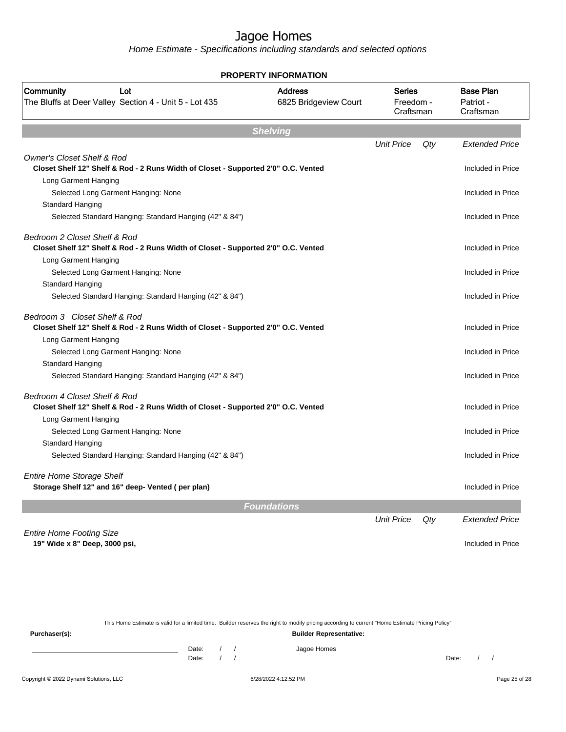Home Estimate - Specifications including standards and selected options

| <b>PROPERTY INFORMATION</b>                                                                                                 |                                         |                                         |     |                       |  |                                            |
|-----------------------------------------------------------------------------------------------------------------------------|-----------------------------------------|-----------------------------------------|-----|-----------------------|--|--------------------------------------------|
| Community<br>Lot<br>The Bluffs at Deer Valley Section 4 - Unit 5 - Lot 435                                                  | <b>Address</b><br>6825 Bridgeview Court | <b>Series</b><br>Freedom -<br>Craftsman |     |                       |  | <b>Base Plan</b><br>Patriot -<br>Craftsman |
|                                                                                                                             | <b>Shelving</b>                         |                                         |     |                       |  |                                            |
|                                                                                                                             |                                         | <b>Unit Price</b>                       | Qty | <b>Extended Price</b> |  |                                            |
| <b>Owner's Closet Shelf &amp; Rod</b><br>Closet Shelf 12" Shelf & Rod - 2 Runs Width of Closet - Supported 2'0" O.C. Vented |                                         |                                         |     | Included in Price     |  |                                            |
| Long Garment Hanging                                                                                                        |                                         |                                         |     |                       |  |                                            |
| Selected Long Garment Hanging: None                                                                                         |                                         |                                         |     | Included in Price     |  |                                            |
| Standard Hanging                                                                                                            |                                         |                                         |     |                       |  |                                            |
| Selected Standard Hanging: Standard Hanging (42" & 84")                                                                     |                                         |                                         |     | Included in Price     |  |                                            |
| Bedroom 2 Closet Shelf & Rod                                                                                                |                                         |                                         |     |                       |  |                                            |
| Closet Shelf 12" Shelf & Rod - 2 Runs Width of Closet - Supported 2'0" O.C. Vented                                          |                                         |                                         |     | Included in Price     |  |                                            |
| Long Garment Hanging<br>Selected Long Garment Hanging: None                                                                 |                                         |                                         |     | Included in Price     |  |                                            |
| Standard Hanging                                                                                                            |                                         |                                         |     |                       |  |                                            |
| Selected Standard Hanging: Standard Hanging (42" & 84")                                                                     |                                         |                                         |     | Included in Price     |  |                                            |
| Bedroom 3 Closet Shelf & Rod<br>Closet Shelf 12" Shelf & Rod - 2 Runs Width of Closet - Supported 2'0" O.C. Vented          |                                         |                                         |     | Included in Price     |  |                                            |
| Long Garment Hanging                                                                                                        |                                         |                                         |     |                       |  |                                            |
| Selected Long Garment Hanging: None                                                                                         |                                         |                                         |     | Included in Price     |  |                                            |
| Standard Hanging                                                                                                            |                                         |                                         |     |                       |  |                                            |
| Selected Standard Hanging: Standard Hanging (42" & 84")                                                                     |                                         |                                         |     | Included in Price     |  |                                            |
| Bedroom 4 Closet Shelf & Rod                                                                                                |                                         |                                         |     |                       |  |                                            |
| Closet Shelf 12" Shelf & Rod - 2 Runs Width of Closet - Supported 2'0" O.C. Vented                                          |                                         |                                         |     | Included in Price     |  |                                            |
| Long Garment Hanging                                                                                                        |                                         |                                         |     |                       |  |                                            |
| Selected Long Garment Hanging: None                                                                                         |                                         |                                         |     | Included in Price     |  |                                            |
| Standard Hanging                                                                                                            |                                         |                                         |     |                       |  |                                            |
| Selected Standard Hanging: Standard Hanging (42" & 84")                                                                     |                                         |                                         |     | Included in Price     |  |                                            |
| <b>Entire Home Storage Shelf</b>                                                                                            |                                         |                                         |     |                       |  |                                            |
| Storage Shelf 12" and 16" deep- Vented (per plan)                                                                           |                                         |                                         |     | Included in Price     |  |                                            |
|                                                                                                                             | <b>Foundations</b>                      |                                         |     |                       |  |                                            |
|                                                                                                                             |                                         | <b>Unit Price</b>                       | Qty | <b>Extended Price</b> |  |                                            |
| <b>Entire Home Footing Size</b>                                                                                             |                                         |                                         |     |                       |  |                                            |
| 19" Wide x 8" Deep, 3000 psi,                                                                                               |                                         |                                         |     | Included in Price     |  |                                            |
|                                                                                                                             |                                         |                                         |     |                       |  |                                            |
|                                                                                                                             |                                         |                                         |     |                       |  |                                            |

This Home Estimate is valid for a limited time. Builder reserves the right to modify pricing according to current "Home Estimate Pricing Policy"

**Purchaser(s): Builder Representative:** Date: / / Jagoe Homes<br>Date: / / Jagoe Homes Date: / / **Date: / / 2006** Date: / / / Date: / / / Date: / / / 2006 Date: / / / 2006 Date: / / / 2006 Date: / / / 2006 Date: / / / 2007 Date: / / / 2007 Date: / / / 2007 Date: / / / 2007 Date: / / / 2007 Date: / / / 2007 D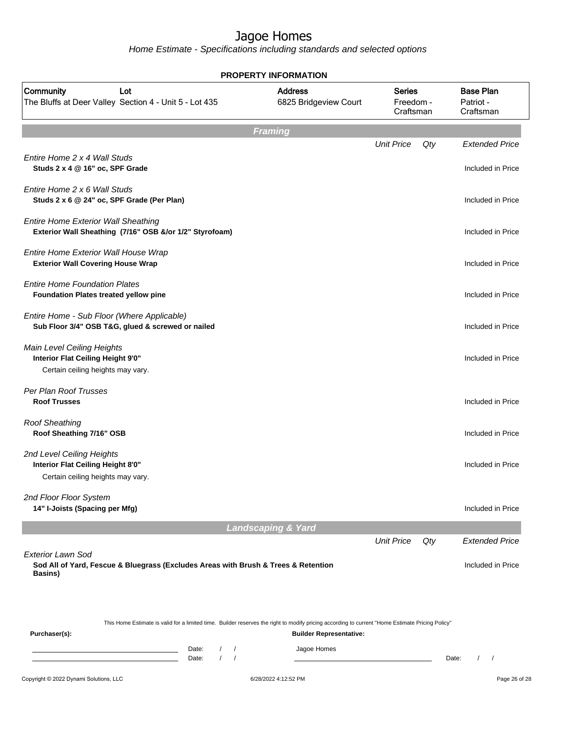|                                                                                                                                                                   | <b>PROPERTY INFORMATION</b>             |                                         |     |                                            |
|-------------------------------------------------------------------------------------------------------------------------------------------------------------------|-----------------------------------------|-----------------------------------------|-----|--------------------------------------------|
| Community<br>Lot<br>The Bluffs at Deer Valley Section 4 - Unit 5 - Lot 435                                                                                        | <b>Address</b><br>6825 Bridgeview Court | <b>Series</b><br>Freedom -<br>Craftsman |     | <b>Base Plan</b><br>Patriot -<br>Craftsman |
|                                                                                                                                                                   | <b>Framing</b>                          |                                         |     |                                            |
| Entire Home 2 x 4 Wall Studs<br>Studs 2 x 4 @ 16" oc, SPF Grade                                                                                                   |                                         | <b>Unit Price</b>                       | Qty | <b>Extended Price</b><br>Included in Price |
| Entire Home 2 x 6 Wall Studs<br>Studs 2 x 6 @ 24" oc, SPF Grade (Per Plan)                                                                                        |                                         |                                         |     | Included in Price                          |
| <b>Entire Home Exterior Wall Sheathing</b><br>Exterior Wall Sheathing (7/16" OSB &/or 1/2" Styrofoam)                                                             |                                         |                                         |     | Included in Price                          |
| Entire Home Exterior Wall House Wrap<br><b>Exterior Wall Covering House Wrap</b>                                                                                  |                                         |                                         |     | Included in Price                          |
| <b>Entire Home Foundation Plates</b><br>Foundation Plates treated yellow pine                                                                                     |                                         |                                         |     | Included in Price                          |
| Entire Home - Sub Floor (Where Applicable)<br>Sub Floor 3/4" OSB T&G, glued & screwed or nailed                                                                   |                                         |                                         |     | Included in Price                          |
| Main Level Ceiling Heights<br>Interior Flat Ceiling Height 9'0"<br>Certain ceiling heights may vary.                                                              |                                         |                                         |     | Included in Price                          |
| Per Plan Roof Trusses<br><b>Roof Trusses</b>                                                                                                                      |                                         |                                         |     | Included in Price                          |
| <b>Roof Sheathing</b><br>Roof Sheathing 7/16" OSB                                                                                                                 |                                         |                                         |     | Included in Price                          |
| 2nd Level Ceiling Heights<br>Interior Flat Ceiling Height 8'0"<br>Certain ceiling heights may vary.                                                               |                                         |                                         |     | Included in Price                          |
| 2nd Floor Floor System<br>14" I-Joists (Spacing per Mfg)                                                                                                          |                                         |                                         |     | Included in Price                          |
|                                                                                                                                                                   | <b>Landscaping &amp; Yard</b>           |                                         |     |                                            |
| <b>Exterior Lawn Sod</b>                                                                                                                                          |                                         | <b>Unit Price</b>                       | Qty | <b>Extended Price</b>                      |
| Sod All of Yard, Fescue & Bluegrass (Excludes Areas with Brush & Trees & Retention<br><b>Basins</b> )                                                             |                                         |                                         |     | Included in Price                          |
| This Home Estimate is valid for a limited time. Builder reserves the right to modify pricing according to current "Home Estimate Pricing Policy"<br>Purchaser(s): | <b>Builder Representative:</b>          |                                         |     |                                            |
| Date:<br>$\sqrt{2}$<br>$\prime$<br>the control of the control of the control of the control of<br>$\prime$<br>Date:                                               | Jagoe Homes                             |                                         |     | Date:                                      |
| Copyright © 2022 Dynami Solutions, LLC                                                                                                                            | 6/28/2022 4:12:52 PM                    |                                         |     | Page 26 of 28                              |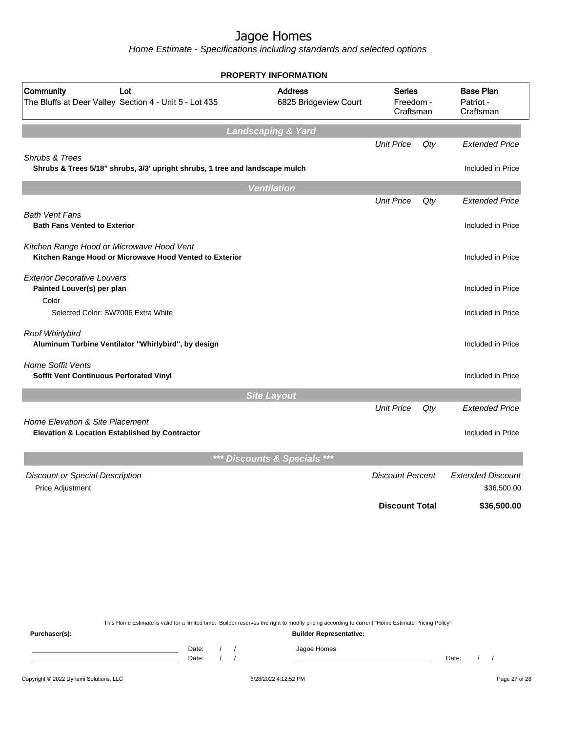Home Estimate - Specifications including standards and selected options

|                                                                                                      | <b>PROPERTY INFORMATION</b>             |                                         |     |                                            |
|------------------------------------------------------------------------------------------------------|-----------------------------------------|-----------------------------------------|-----|--------------------------------------------|
| Community<br>Lot<br>The Bluffs at Deer Valley Section 4 - Unit 5 - Lot 435                           | <b>Address</b><br>6825 Bridgeview Court | <b>Series</b><br>Freedom -<br>Craftsman |     | <b>Base Plan</b><br>Patriot -<br>Craftsman |
|                                                                                                      | <b>Landscaping &amp; Yard</b>           |                                         |     |                                            |
|                                                                                                      |                                         | <b>Unit Price</b>                       | Qty | <b>Extended Price</b>                      |
| Shrubs & Trees<br>Shrubs & Trees 5/18" shrubs, 3/3' upright shrubs, 1 tree and landscape mulch       |                                         |                                         |     | Included in Price                          |
|                                                                                                      | <b>Ventilation</b>                      |                                         |     |                                            |
|                                                                                                      |                                         | <b>Unit Price</b>                       | Qty | Extended Price                             |
| <b>Bath Vent Fans</b><br><b>Bath Fans Vented to Exterior</b>                                         |                                         |                                         |     | Included in Price                          |
| Kitchen Range Hood or Microwave Hood Vent<br>Kitchen Range Hood or Microwave Hood Vented to Exterior |                                         |                                         |     | Included in Price                          |
| <b>Exterior Decorative Louvers</b><br>Painted Louver(s) per plan                                     |                                         |                                         |     | Included in Price                          |
| Color<br>Selected Color: SW7006 Extra White                                                          |                                         |                                         |     | Included in Price                          |
| Roof Whirlybird<br>Aluminum Turbine Ventilator "Whirlybird", by design                               |                                         |                                         |     | Included in Price                          |
| <b>Home Soffit Vents</b><br>Soffit Vent Continuous Perforated Vinyl                                  |                                         |                                         |     | Included in Price                          |
|                                                                                                      | <b>Site Layout</b>                      |                                         |     |                                            |
|                                                                                                      |                                         | <b>Unit Price</b>                       | Qty | <b>Extended Price</b>                      |
| Home Elevation & Site Placement<br>Elevation & Location Established by Contractor                    |                                         |                                         |     | Included in Price                          |
|                                                                                                      | *** Discounts & Specials<br>$***$       |                                         |     |                                            |
| <b>Discount or Special Description</b><br>Price Adjustment                                           |                                         | <b>Discount Percent</b>                 |     | <b>Extended Discount</b><br>\$36,500.00    |
|                                                                                                      |                                         | <b>Discount Total</b>                   |     | \$36,500.00                                |
|                                                                                                      |                                         |                                         |     |                                            |
|                                                                                                      |                                         |                                         |     |                                            |

This Home Estimate is valid for a limited time. Builder reserves the right to modify pricing according to current "Home Estimate Pricing Policy"

**Purchaser(s): Builder Representative:** Date: / / Jagoe Homes<br>Date: / / Jagoe Homes Date: / / Date: / /